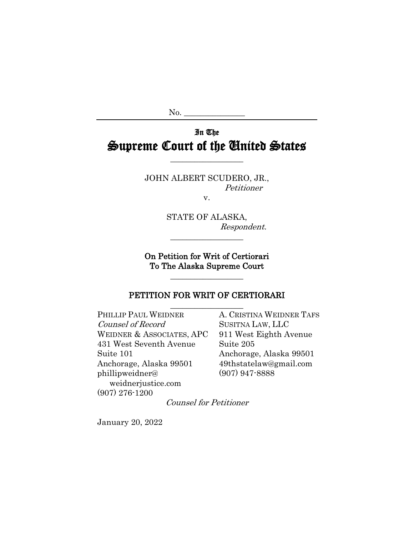$No.$ 

# In The Supreme Court of the United States

JOHN ALBERT SCUDERO, JR., Petitioner

v.

STATE OF ALASKA, Respondent.

On Petition for Writ of Certiorari To The Alaska Supreme Court

\_\_\_\_\_\_\_\_\_\_\_\_\_\_\_\_\_\_

\_\_\_\_\_\_\_\_\_\_\_\_\_\_\_\_\_\_

### PETITION FOR WRIT OF CERTIORARI \_\_\_\_\_\_\_\_\_\_\_\_\_\_\_\_\_\_

PHILLIP PAUL WEIDNER A. CRISTINA WEIDNER TAFS Counsel of Record SUSITNA LAW, LLC WEIDNER & ASSOCIATES, APC 911 West Eighth Avenue 431 West Seventh Avenue Suite 205 Suite 101 Anchorage, Alaska 99501 Anchorage, Alaska 99501 49thstatelaw@gmail.com phillipweidner@ (907) 947-8888 weidnerjustice.com (907) 276-1200

Counsel for Petitioner

January 20, 2022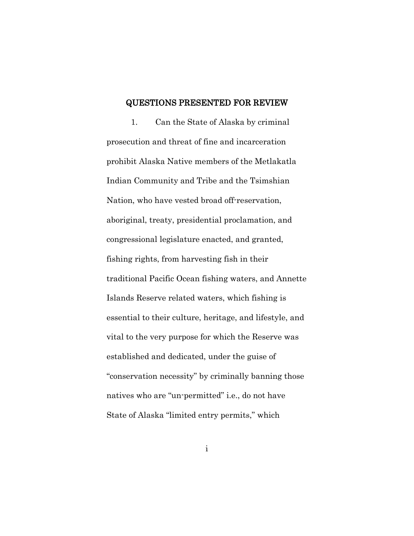#### QUESTIONS PRESENTED FOR REVIEW

1. Can the State of Alaska by criminal prosecution and threat of fine and incarceration prohibit Alaska Native members of the Metlakatla Indian Community and Tribe and the Tsimshian Nation, who have vested broad off-reservation, aboriginal, treaty, presidential proclamation, and congressional legislature enacted, and granted, fishing rights, from harvesting fish in their traditional Pacific Ocean fishing waters, and Annette Islands Reserve related waters, which fishing is essential to their culture, heritage, and lifestyle, and vital to the very purpose for which the Reserve was established and dedicated, under the guise of "conservation necessity" by criminally banning those natives who are "un-permitted" i.e., do not have State of Alaska "limited entry permits," which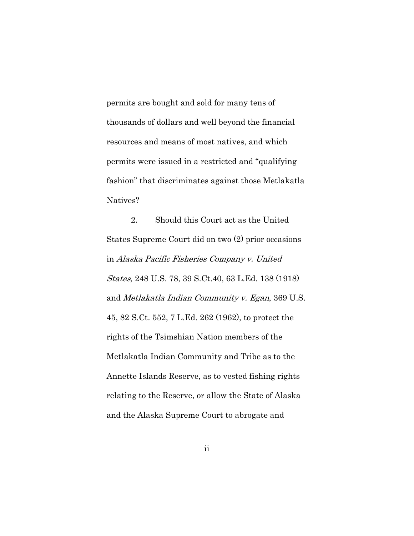permits are bought and sold for many tens of thousands of dollars and well beyond the financial resources and means of most natives, and which permits were issued in a restricted and "qualifying fashion" that discriminates against those Metlakatla Natives?

2. Should this Court act as the United States Supreme Court did on two (2) prior occasions in Alaska Pacific Fisheries Company v. United States, 248 U.S. 78, 39 S.Ct.40, 63 L.Ed. 138 (1918) and Metlakatla Indian Community v. Egan, 369 U.S. 45, 82 S.Ct. 552, 7 L.Ed. 262 (1962), to protect the rights of the Tsimshian Nation members of the Metlakatla Indian Community and Tribe as to the Annette Islands Reserve, as to vested fishing rights relating to the Reserve, or allow the State of Alaska and the Alaska Supreme Court to abrogate and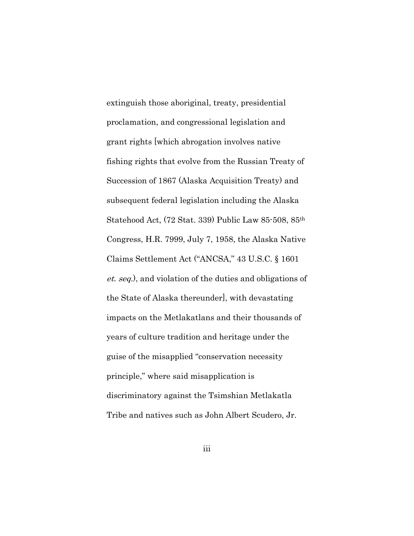extinguish those aboriginal, treaty, presidential proclamation, and congressional legislation and grant rights [which abrogation involves native fishing rights that evolve from the Russian Treaty of Succession of 1867 (Alaska Acquisition Treaty) and subsequent federal legislation including the Alaska Statehood Act, (72 Stat. 339) Public Law 85-508, 85th Congress, H.R. 7999, July 7, 1958, the Alaska Native Claims Settlement Act ("ANCSA," 43 U.S.C. § 1601 et. seq.), and violation of the duties and obligations of the State of Alaska thereunder], with devastating impacts on the Metlakatlans and their thousands of years of culture tradition and heritage under the guise of the misapplied "conservation necessity principle," where said misapplication is discriminatory against the Tsimshian Metlakatla Tribe and natives such as John Albert Scudero, Jr.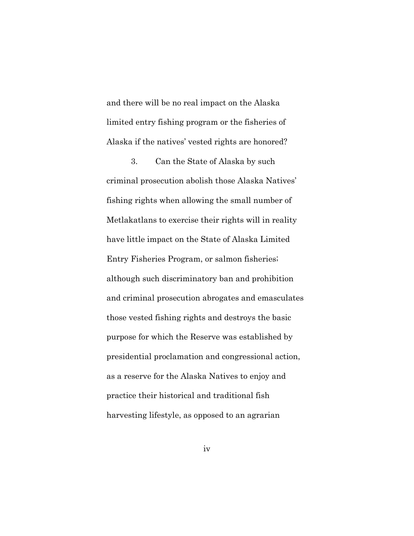and there will be no real impact on the Alaska limited entry fishing program or the fisheries of Alaska if the natives' vested rights are honored?

3. Can the State of Alaska by such criminal prosecution abolish those Alaska Natives' fishing rights when allowing the small number of Metlakatlans to exercise their rights will in reality have little impact on the State of Alaska Limited Entry Fisheries Program, or salmon fisheries; although such discriminatory ban and prohibition and criminal prosecution abrogates and emasculates those vested fishing rights and destroys the basic purpose for which the Reserve was established by presidential proclamation and congressional action, as a reserve for the Alaska Natives to enjoy and practice their historical and traditional fish harvesting lifestyle, as opposed to an agrarian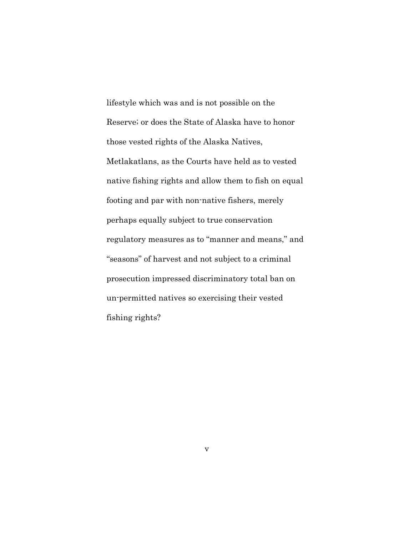lifestyle which was and is not possible on the Reserve; or does the State of Alaska have to honor those vested rights of the Alaska Natives, Metlakatlans, as the Courts have held as to vested native fishing rights and allow them to fish on equal footing and par with non-native fishers, merely perhaps equally subject to true conservation regulatory measures as to "manner and means," and "seasons" of harvest and not subject to a criminal prosecution impressed discriminatory total ban on un-permitted natives so exercising their vested fishing rights?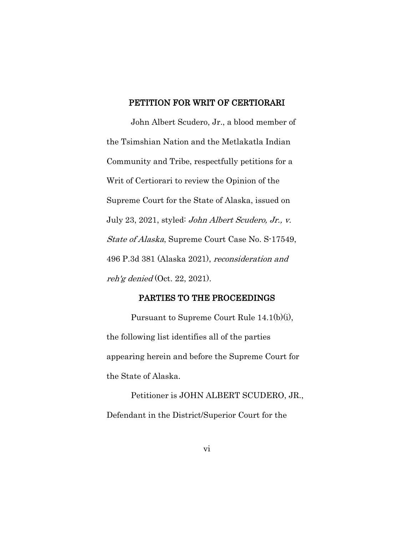### PETITION FOR WRIT OF CERTIORARI

John Albert Scudero, Jr., a blood member of the Tsimshian Nation and the Metlakatla Indian Community and Tribe, respectfully petitions for a Writ of Certiorari to review the Opinion of the Supreme Court for the State of Alaska, issued on July 23, 2021, styled: John Albert Scudero, Jr., v. State of Alaska, Supreme Court Case No. S-17549, 496 P.3d 381 (Alaska 2021), reconsideration and reh'g denied (Oct. 22, 2021).

### PARTIES TO THE PROCEEDINGS

Pursuant to Supreme Court Rule 14.1(b)(i), the following list identifies all of the parties appearing herein and before the Supreme Court for the State of Alaska.

Petitioner is JOHN ALBERT SCUDERO, JR., Defendant in the District/Superior Court for the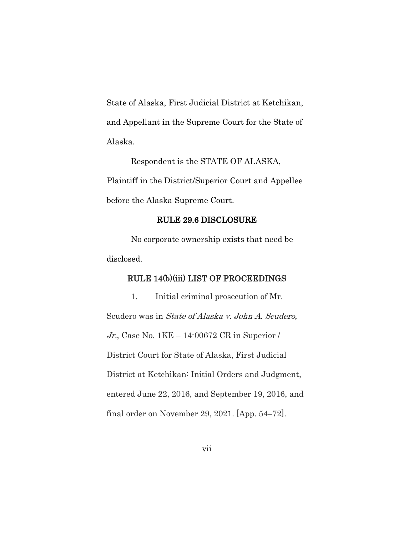State of Alaska, First Judicial District at Ketchikan, and Appellant in the Supreme Court for the State of Alaska.

Respondent is the STATE OF ALASKA, Plaintiff in the District/Superior Court and Appellee before the Alaska Supreme Court.

#### RULE 29.6 DISCLOSURE

No corporate ownership exists that need be disclosed.

### RULE 14(b)(iii) LIST OF PROCEEDINGS

1. Initial criminal prosecution of Mr. Scudero was in State of Alaska v. John A. Scudero, Jr., Case No. 1KE – 14-00672 CR in Superior / District Court for State of Alaska, First Judicial District at Ketchikan: Initial Orders and Judgment, entered June 22, 2016, and September 19, 2016, and final order on November 29, 2021. [App. 54–72].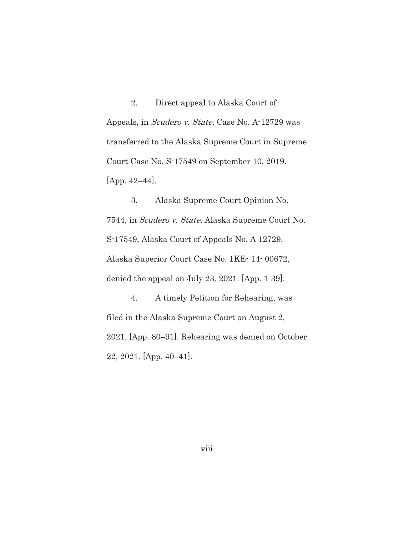2. Direct appeal to Alaska Court of Appeals, in Scudero v. State, Case No. A-12729 was transferred to the Alaska Supreme Court in Supreme Court Case No. S-17549 on September 10, 2019. [App. 42–44].

3. Alaska Supreme Court Opinion No. 7544, in Scudero v. State, Alaska Supreme Court No. S-17549, Alaska Court of Appeals No. A 12729, Alaska Superior Court Case No. 1KE- 14- 00672, denied the appeal on July 23, 2021. [App. 1-39].

4. A timely Petition for Rehearing, was filed in the Alaska Supreme Court on August 2, 2021. [App. 80–91]. Rehearing was denied on October 22, 2021. [App. 40–41].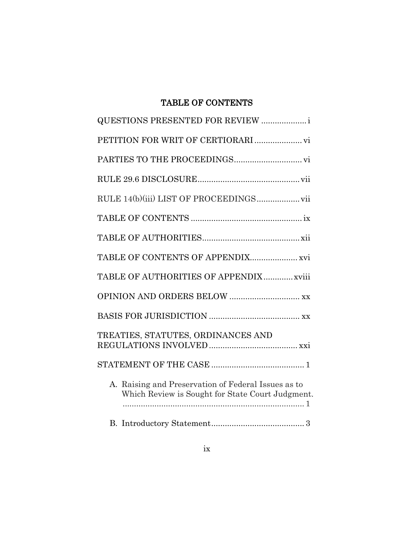# TABLE OF CONTENTS

| <b>QUESTIONS PRESENTED FOR REVIEW </b>                                                                  |
|---------------------------------------------------------------------------------------------------------|
|                                                                                                         |
|                                                                                                         |
|                                                                                                         |
|                                                                                                         |
|                                                                                                         |
|                                                                                                         |
| TABLE OF CONTENTS OF APPENDIX xvi                                                                       |
| TABLE OF AUTHORITIES OF APPENDIX xviii                                                                  |
| OPINION AND ORDERS BELOW  xx                                                                            |
|                                                                                                         |
| TREATIES, STATUTES, ORDINANCES AND                                                                      |
|                                                                                                         |
| A. Raising and Preservation of Federal Issues as to<br>Which Review is Sought for State Court Judgment. |
|                                                                                                         |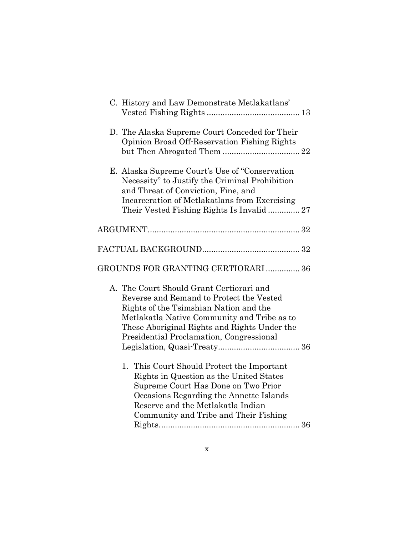| C. History and Law Demonstrate Metlakatlans'                                                                                                                                                                                                                              |  |
|---------------------------------------------------------------------------------------------------------------------------------------------------------------------------------------------------------------------------------------------------------------------------|--|
| D. The Alaska Supreme Court Conceded for Their<br>Opinion Broad Off-Reservation Fishing Rights                                                                                                                                                                            |  |
| E. Alaska Supreme Court's Use of "Conservation"<br>Necessity" to Justify the Criminal Prohibition<br>and Threat of Conviction, Fine, and<br>Incarceration of Metlakatlans from Exercising<br>Their Vested Fishing Rights Is Invalid 27                                    |  |
|                                                                                                                                                                                                                                                                           |  |
|                                                                                                                                                                                                                                                                           |  |
| GROUNDS FOR GRANTING CERTIORARI 36                                                                                                                                                                                                                                        |  |
| A. The Court Should Grant Certiorari and<br>Reverse and Remand to Protect the Vested<br>Rights of the Tsimshian Nation and the<br>Metlakatla Native Community and Tribe as to<br>These Aboriginal Rights and Rights Under the<br>Presidential Proclamation, Congressional |  |
| 1.<br>This Court Should Protect the Important<br>Rights in Question as the United States<br>Supreme Court Has Done on Two Prior<br>Occasions Regarding the Annette Islands<br>Reserve and the Metlakatla Indian<br>Community and Tribe and Their Fishing                  |  |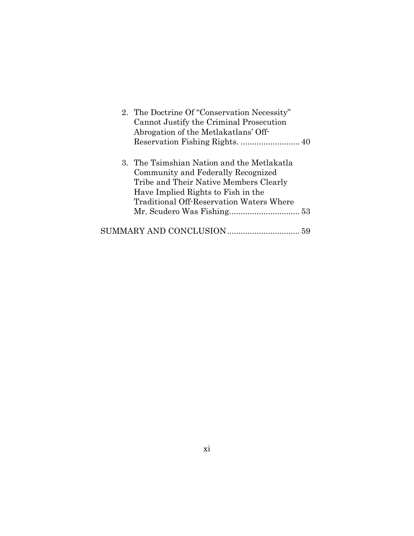|  | 2. The Doctrine Of "Conservation Necessity"     |
|--|-------------------------------------------------|
|  | Cannot Justify the Criminal Prosecution         |
|  | Abrogation of the Metlakatlans' Off-            |
|  |                                                 |
|  |                                                 |
|  | 3. The Tsimshian Nation and the Metlakatla      |
|  | Community and Federally Recognized              |
|  | Tribe and Their Native Members Clearly          |
|  | Have Implied Rights to Fish in the              |
|  | <b>Traditional Off-Reservation Waters Where</b> |
|  |                                                 |
|  |                                                 |
|  |                                                 |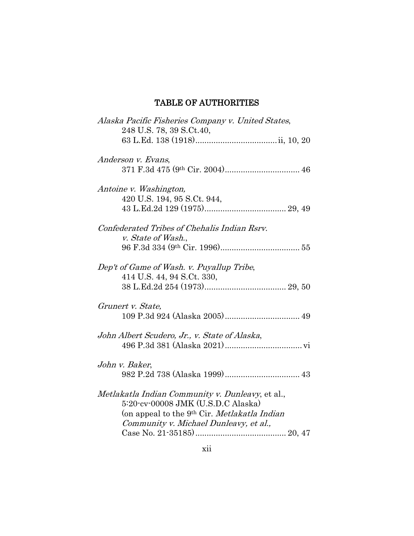# TABLE OF AUTHORITIES

| Alaska Pacific Fisheries Company v. United States,<br>248 U.S. 78, 39 S.Ct.40,                                                                                                               |
|----------------------------------------------------------------------------------------------------------------------------------------------------------------------------------------------|
|                                                                                                                                                                                              |
| Anderson v. Evans,                                                                                                                                                                           |
| Antoine v. Washington,<br>420 U.S. 194, 95 S.Ct. 944,                                                                                                                                        |
| Confederated Tribes of Chehalis Indian Rsrv.<br>v. State of Wash.,                                                                                                                           |
| Dep't of Game of Wash. v. Puyallup Tribe,<br>414 U.S. 44, 94 S.Ct. 330,                                                                                                                      |
| Grunert v. State,                                                                                                                                                                            |
| John Albert Scudero, Jr., v. State of Alaska,                                                                                                                                                |
| John v. Baker,                                                                                                                                                                               |
| Metlakatla Indian Community v. Dunleavy, et al.,<br>5:20-cv-00008 JMK (U.S.D.C Alaska)<br>(on appeal to the 9 <sup>th</sup> Cir. Metlakatla Indian<br>Community v. Michael Dunleavy, et al., |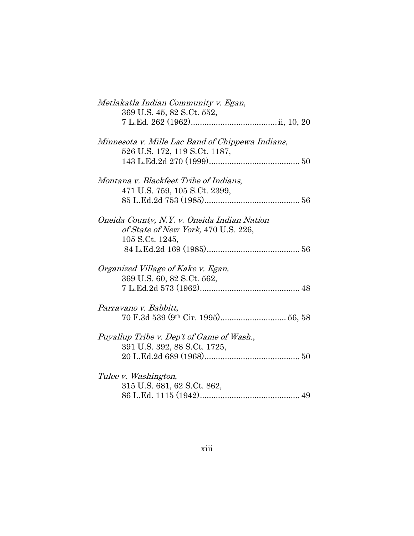| Metlakatla Indian Community v. Egan,             |  |
|--------------------------------------------------|--|
| 369 U.S. 45, 82 S.Ct. 552,                       |  |
|                                                  |  |
| Minnesota v. Mille Lac Band of Chippewa Indians, |  |
| 526 U.S. 172, 119 S.Ct. 1187,                    |  |
|                                                  |  |
| Montana v. Blackfeet Tribe of Indians,           |  |
| 471 U.S. 759, 105 S.Ct. 2399,                    |  |
|                                                  |  |
| Oneida County, N.Y. v. Oneida Indian Nation      |  |
| of State of New York, 470 U.S. 226,              |  |
| 105 S.Ct. 1245,                                  |  |
|                                                  |  |
| Organized Village of Kake v. Egan,               |  |
| 369 U.S. 60, 82 S.Ct. 562,                       |  |
|                                                  |  |
| Parravano v. Babbitt,                            |  |
|                                                  |  |
| Puyallup Tribe v. Dep't of Game of Wash.,        |  |
| 391 U.S. 392, 88 S.Ct. 1725,                     |  |
|                                                  |  |
| Tulee v. Washington,                             |  |
| 315 U.S. 681, 62 S.Ct. 862,                      |  |
|                                                  |  |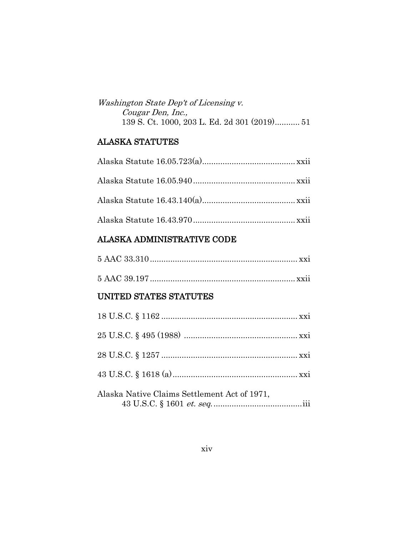| Washington State Dep't of Licensing v.       |
|----------------------------------------------|
| Cougar Den, Inc.,                            |
| 139 S. Ct. 1000, 203 L. Ed. 2d 301 (2019) 51 |

## ALASKA STATUTES

## ALASKA ADMINISTRATIVE CODE

# UNITED STATES STATUTES

| Alaska Native Claims Settlement Act of 1971,<br>$43$ U.S.C. $\S$ 1601 $et.$ $seq.$ $\dots\dots\dots\dots\dots\dots\dots\dots\dots\dots\dots\dots\dots\dots\dots\dots\dots$ |
|----------------------------------------------------------------------------------------------------------------------------------------------------------------------------|
|                                                                                                                                                                            |
|                                                                                                                                                                            |
|                                                                                                                                                                            |
|                                                                                                                                                                            |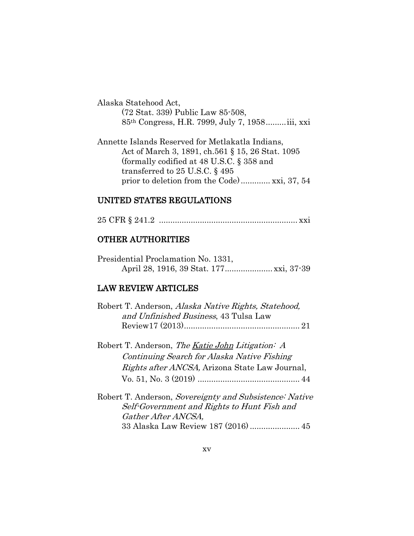Alaska Statehood Act, (72 Stat. 339) Public Law 85-508, 85th Congress, H.R. 7999, July 7, 1958.........iii, xxi

Annette Islands Reserved for Metlakatla Indians, Act of March 3, 1891, ch.561 § 15, 26 Stat. 1095 (formally codified at 48 U.S.C. § 358 and transferred to 25 U.S.C. § 495 prior to deletion from the Code)............. xxi, 37, 54

### UNITED STATES REGULATIONS

25 CFR § 241.2 ............................................................. xxi

### OTHER AUTHORITIES

|  | Presidential Proclamation No. 1331, |  |  |
|--|-------------------------------------|--|--|
|  |                                     |  |  |

### LAW REVIEW ARTICLES

| Robert T. Anderson, Alaska Native Rights, Statehood, |
|------------------------------------------------------|
| and Unfinished Business, 43 Tulsa Law                |
|                                                      |
|                                                      |

Robert T. Anderson, The <u>Katie John</u> Litigation: A Continuing Search for Alaska Native Fishing Rights after ANCSA, Arizona State Law Journal, Vo. 51, No. 3 (2019) ............................................. 44

Robert T. Anderson, Sovereignty and Subsistence: Native Self-Government and Rights to Hunt Fish and Gather After ANCSA, 33 Alaska Law Review 187 (2016) ...................... 45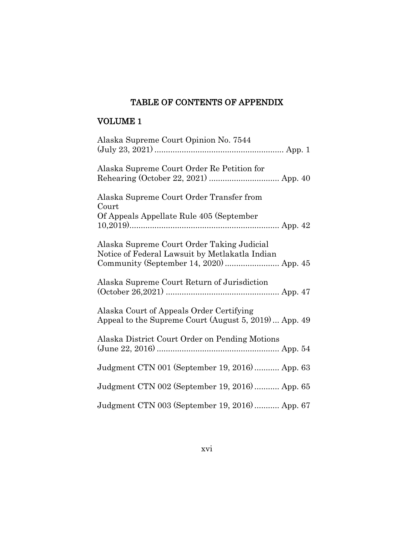### TABLE OF CONTENTS OF APPENDIX

# VOLUME 1

| Alaska Supreme Court Opinion No. 7544                                                            |
|--------------------------------------------------------------------------------------------------|
| Alaska Supreme Court Order Re Petition for                                                       |
| Alaska Supreme Court Order Transfer from<br>Court                                                |
| Of Appeals Appellate Rule 405 (September                                                         |
| Alaska Supreme Court Order Taking Judicial<br>Notice of Federal Lawsuit by Metlakatla Indian     |
| Alaska Supreme Court Return of Jurisdiction                                                      |
| Alaska Court of Appeals Order Certifying<br>Appeal to the Supreme Court (August 5, 2019) App. 49 |
| Alaska District Court Order on Pending Motions                                                   |
| Judgment CTN 001 (September 19, 2016) App. 63                                                    |
| Judgment CTN 002 (September 19, 2016) App. 65                                                    |
| Judgment CTN 003 (September 19, 2016)  App. 67                                                   |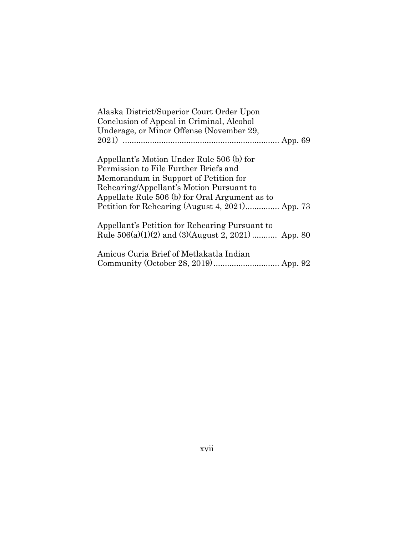| Alaska District/Superior Court Order Upon |
|-------------------------------------------|
| Conclusion of Appeal in Criminal, Alcohol |
| Underage, or Minor Offense (November 29,  |
|                                           |

Appellant's Motion Under Rule 506 (b) for Permission to File Further Briefs and Memorandum in Support of Petition for Rehearing/Appellant's Motion Pursuant to Appellate Rule 506 (b) for Oral Argument as to Petition for Rehearing (August 4, 2021)............... App. 73

Appellant's Petition for Rehearing Pursuant to Rule 506(a)(1)(2) and (3)(August 2, 2021) ........... App. 80

Amicus Curia Brief of Metlakatla Indian Community (October 28, 2019)............................. App. 92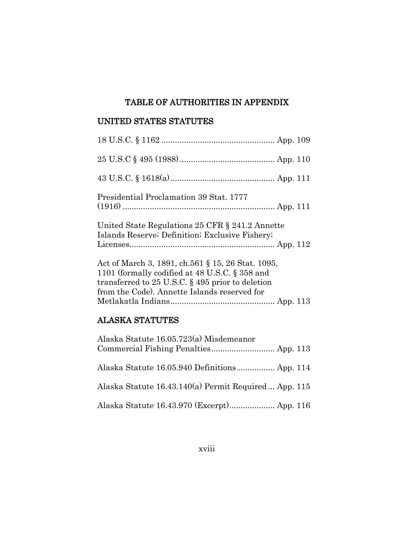## TABLE OF AUTHORITIES IN APPENDIX

### UNITED STATES STATUTES

| Presidential Proclamation 39 Stat. 1777                                                                                                                                                                    |  |
|------------------------------------------------------------------------------------------------------------------------------------------------------------------------------------------------------------|--|
| United State Regulations 25 CFR § 241.2 Annette                                                                                                                                                            |  |
| Islands Reserve; Definition; Exclusive Fishery;                                                                                                                                                            |  |
| Act of March 3, 1891, ch.561 § 15, 26 Stat. 1095,<br>1101 (formally codified at 48 U.S.C. § 358 and<br>transferred to 25 U.S.C. $\S$ 495 prior to deletion<br>from the Code). Annette Islands reserved for |  |
|                                                                                                                                                                                                            |  |

# ALASKA STATUTES

| Alaska Statute 16.05.723(a) Misdemeanor               |  |
|-------------------------------------------------------|--|
| Alaska Statute 16.05.940 Definitions App. 114         |  |
| Alaska Statute 16.43.140(a) Permit Required  App. 115 |  |
|                                                       |  |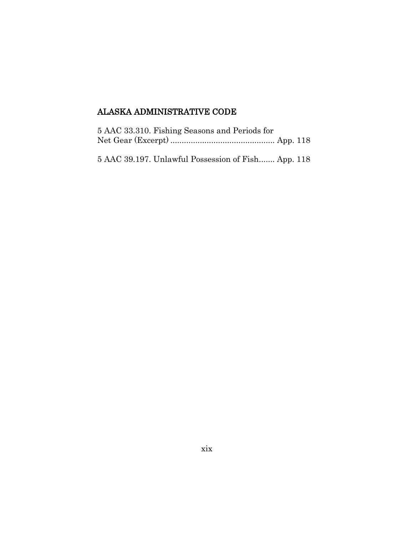# ALASKA ADMINISTRATIVE CODE

| 5 AAC 33.310. Fishing Seasons and Periods for |  |
|-----------------------------------------------|--|
|                                               |  |
|                                               |  |

5 AAC 39.197. Unlawful Possession of Fish....... App. 118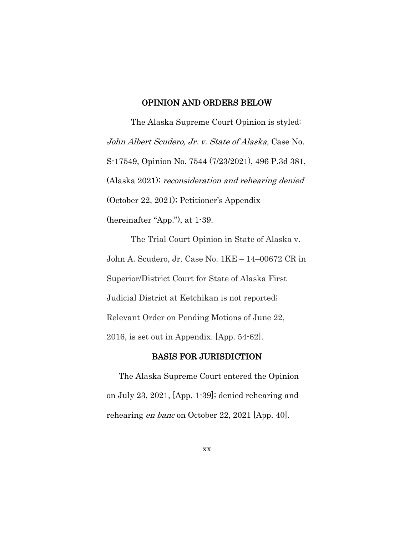#### OPINION AND ORDERS BELOW

The Alaska Supreme Court Opinion is styled: John Albert Scudero, Jr. v. State of Alaska, Case No. S-17549, Opinion No. 7544 (7/23/2021), 496 P.3d 381, (Alaska 2021); reconsideration and rehearing denied (October 22, 2021); Petitioner's Appendix (hereinafter "App."), at 1-39.

The Trial Court Opinion in State of Alaska v. John A. Scudero, Jr. Case No. 1KE – 14–00672 CR in Superior/District Court for State of Alaska First Judicial District at Ketchikan is not reported; Relevant Order on Pending Motions of June 22, 2016, is set out in Appendix. [App. 54-62].

#### BASIS FOR JURISDICTION

The Alaska Supreme Court entered the Opinion on July 23, 2021, [App. 1-39]; denied rehearing and rehearing en banc on October 22, 2021 [App. 40].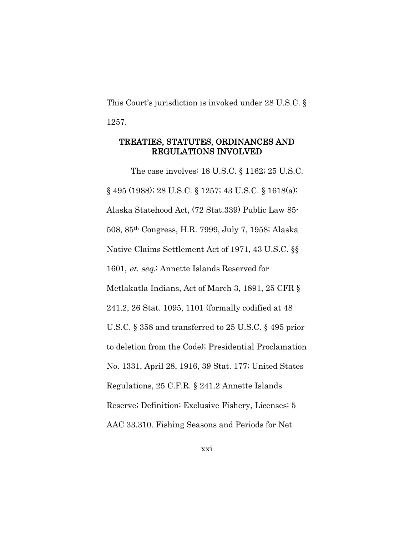This Court's jurisdiction is invoked under [28 U.S.C. §](https://www.law.cornell.edu/uscode/text/28/1257)  [1257.](https://www.law.cornell.edu/uscode/text/28/1257)

### TREATIES, STATUTES, ORDINANCES AND REGULATIONS INVOLVED

The case involves: 18 U.S.C. § 1162; 25 U.S.C. § 495 (1988); [28 U.S.C. § 1257;](https://www.law.cornell.edu/uscode/text/28/1257) 43 U.S.C. § 1618(a); Alaska Statehood Act, (72 Stat.339) Public Law 85- 508, 85th Congress, H.R. 7999, July 7, 1958; Alaska Native Claims Settlement Act of 1971, 43 U.S.C. §§ 1601, et. seq.; Annette Islands Reserved for Metlakatla Indians, Act of March 3, 1891, 25 CFR § 241.2, 26 Stat. 1095, 1101 (formally codified at 48 U.S.C. § 358 and transferred to 25 U.S.C. § 495 prior to deletion from the Code); Presidential Proclamation No. 1331, April 28, 1916, 39 Stat. 177; United States Regulations, 25 C.F.R. § 241.2 Annette Islands Reserve; Definition; Exclusive Fishery, Licenses; 5 AAC 33.310. Fishing Seasons and Periods for Net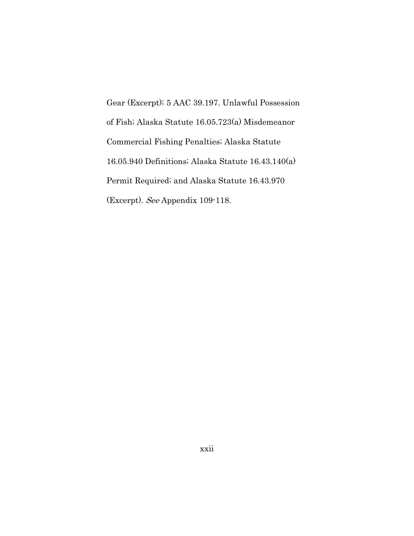Gear (Excerpt); 5 AAC 39.197. Unlawful Possession of Fish; Alaska Statute 16.05.723(a) Misdemeanor Commercial Fishing Penalties; Alaska Statute 16.05.940 Definitions; Alaska Statute 16.43.140(a) Permit Required; and Alaska Statute 16.43.970 (Excerpt). See Appendix 109-118.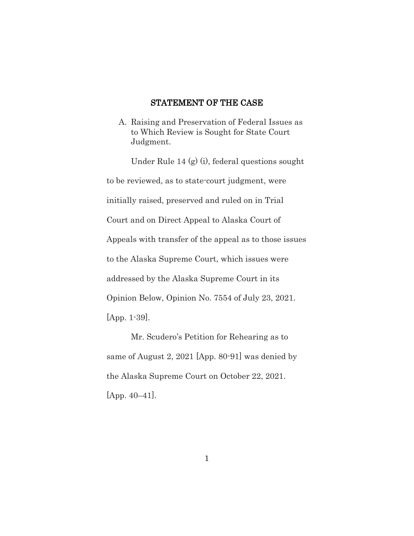### STATEMENT OF THE CASE

A. Raising and Preservation of Federal Issues as to Which Review is Sought for State Court Judgment.

Under Rule 14 (g) (i), federal questions sought to be reviewed, as to state-court judgment, were initially raised, preserved and ruled on in Trial Court and on Direct Appeal to Alaska Court of Appeals with transfer of the appeal as to those issues to the Alaska Supreme Court, which issues were addressed by the Alaska Supreme Court in its Opinion Below, Opinion No. 7554 of July 23, 2021. [App. 1-39].

Mr. Scudero's Petition for Rehearing as to same of August 2, 2021 [App. 80-91] was denied by the Alaska Supreme Court on October 22, 2021. [App. 40–41].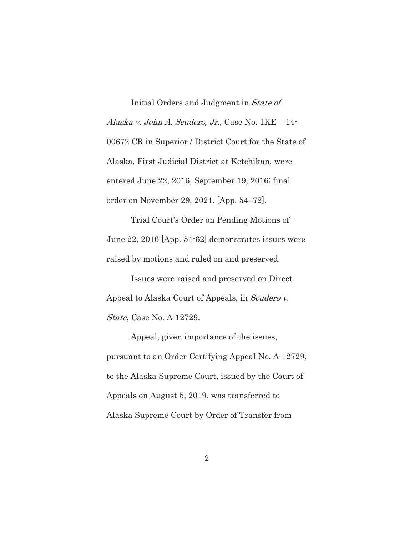Initial Orders and Judgment in State of Alaska v. John A. Scudero, Jr., Case No. 1KE – 14- 00672 CR in Superior / District Court for the State of Alaska, First Judicial District at Ketchikan, were entered June 22, 2016, September 19, 2016; final order on November 29, 2021. [App. 54–72].

Trial Court's Order on Pending Motions of June 22, 2016 [App. 54-62] demonstrates issues were raised by motions and ruled on and preserved.

Issues were raised and preserved on Direct Appeal to Alaska Court of Appeals, in Scudero v. State, Case No. A-12729.

Appeal, given importance of the issues, pursuant to an Order Certifying Appeal No. A-12729, to the Alaska Supreme Court, issued by the Court of Appeals on August 5, 2019, was transferred to Alaska Supreme Court by Order of Transfer from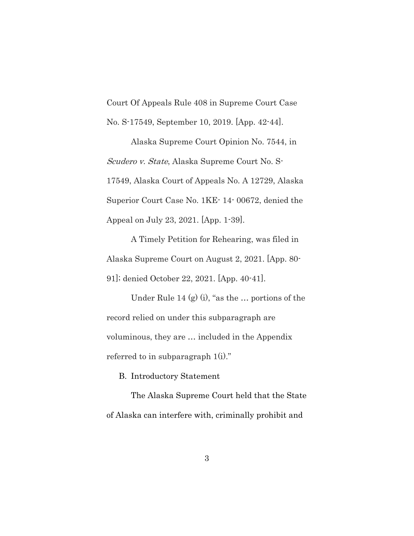Court Of Appeals Rule 408 in Supreme Court Case No. S-17549, September 10, 2019. [App. 42-44].

Alaska Supreme Court Opinion No. 7544, in Scudero v. State, Alaska Supreme Court No. S-17549, Alaska Court of Appeals No. A 12729, Alaska Superior Court Case No. 1KE- 14- 00672, denied the Appeal on July 23, 2021. [App. 1-39].

A Timely Petition for Rehearing, was filed in Alaska Supreme Court on August 2, 2021. [App. 80- 91]; denied October 22, 2021. [App. 40-41].

Under Rule 14  $(g)$  (i), "as the ... portions of the record relied on under this subparagraph are voluminous, they are … included in the Appendix referred to in subparagraph 1(i)."

B. Introductory Statement

The Alaska Supreme Court held that the State of Alaska can interfere with, criminally prohibit and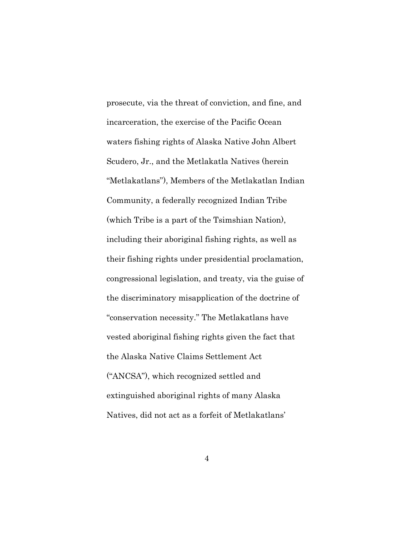prosecute, via the threat of conviction, and fine, and incarceration, the exercise of the Pacific Ocean waters fishing rights of Alaska Native John Albert Scudero, Jr., and the Metlakatla Natives (herein "Metlakatlans"), Members of the Metlakatlan Indian Community, a federally recognized Indian Tribe (which Tribe is a part of the Tsimshian Nation), including their aboriginal fishing rights, as well as their fishing rights under presidential proclamation, congressional legislation, and treaty, via the guise of the discriminatory misapplication of the doctrine of "conservation necessity." The Metlakatlans have vested aboriginal fishing rights given the fact that the Alaska Native Claims Settlement Act ("ANCSA"), which recognized settled and extinguished aboriginal rights of many Alaska Natives, did not act as a forfeit of Metlakatlans'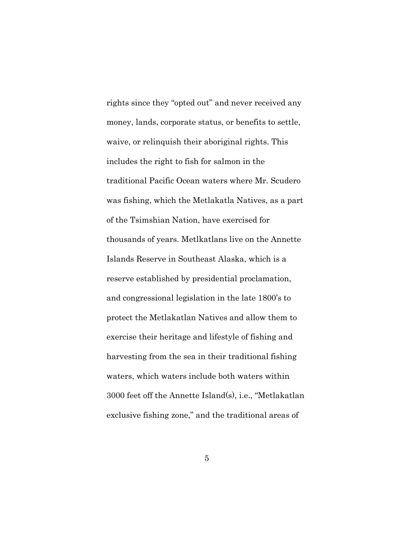rights since they "opted out" and never received any money, lands, corporate status, or benefits to settle, waive, or relinquish their aboriginal rights. This includes the right to fish for salmon in the traditional Pacific Ocean waters where Mr. Scudero was fishing, which the Metlakatla Natives, as a part of the Tsimshian Nation, have exercised for thousands of years. Metlkatlans live on the Annette Islands Reserve in Southeast Alaska, which is a reserve established by presidential proclamation, and congressional legislation in the late 1800's to protect the Metlakatlan Natives and allow them to exercise their heritage and lifestyle of fishing and harvesting from the sea in their traditional fishing waters, which waters include both waters within 3000 feet off the Annette Island(s), i.e., "Metlakatlan exclusive fishing zone," and the traditional areas of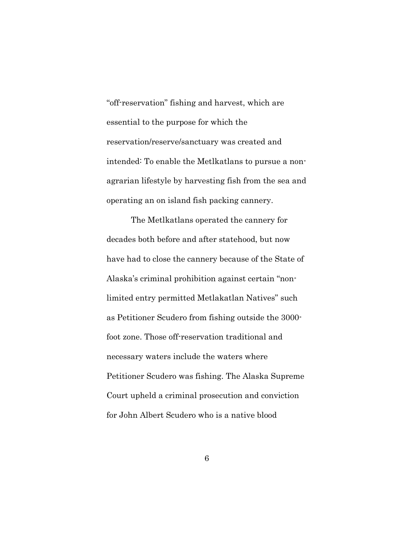"off-reservation" fishing and harvest, which are essential to the purpose for which the reservation/reserve/sanctuary was created and intended: To enable the Metlkatlans to pursue a nonagrarian lifestyle by harvesting fish from the sea and operating an on island fish packing cannery.

The Metlkatlans operated the cannery for decades both before and after statehood, but now have had to close the cannery because of the State of Alaska's criminal prohibition against certain "nonlimited entry permitted Metlakatlan Natives" such as Petitioner Scudero from fishing outside the 3000 foot zone. Those off-reservation traditional and necessary waters include the waters where Petitioner Scudero was fishing. The Alaska Supreme Court upheld a criminal prosecution and conviction for John Albert Scudero who is a native blood

6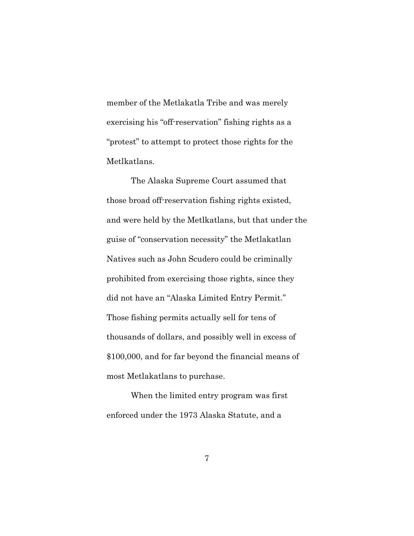member of the Metlakatla Tribe and was merely exercising his "off-reservation" fishing rights as a "protest" to attempt to protect those rights for the Metlkatlans.

The Alaska Supreme Court assumed that those broad off-reservation fishing rights existed, and were held by the Metlkatlans, but that under the guise of "conservation necessity" the Metlakatlan Natives such as John Scudero could be criminally prohibited from exercising those rights, since they did not have an "Alaska Limited Entry Permit." Those fishing permits actually sell for tens of thousands of dollars, and possibly well in excess of \$100,000, and for far beyond the financial means of most Metlakatlans to purchase.

When the limited entry program was first enforced under the 1973 Alaska Statute, and a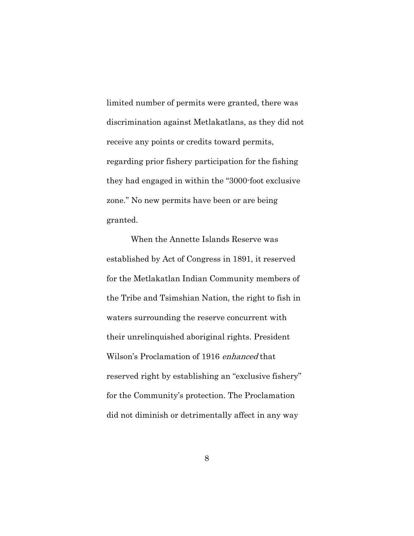limited number of permits were granted, there was discrimination against Metlakatlans, as they did not receive any points or credits toward permits, regarding prior fishery participation for the fishing they had engaged in within the "3000-foot exclusive zone." No new permits have been or are being granted.

When the Annette Islands Reserve was established by Act of Congress in 1891, it reserved for the Metlakatlan Indian Community members of the Tribe and Tsimshian Nation, the right to fish in waters surrounding the reserve concurrent with their unrelinquished aboriginal rights. President Wilson's Proclamation of 1916 enhanced that reserved right by establishing an "exclusive fishery" for the Community's protection. The Proclamation did not diminish or detrimentally affect in any way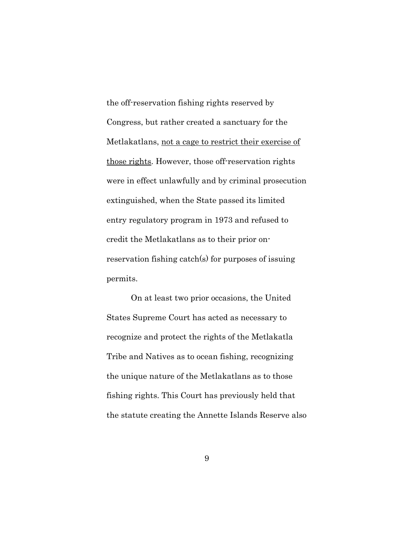the off-reservation fishing rights reserved by Congress, but rather created a sanctuary for the Metlakatlans, not a cage to restrict their exercise of those rights. However, those off-reservation rights were in effect unlawfully and by criminal prosecution extinguished, when the State passed its limited entry regulatory program in 1973 and refused to credit the Metlakatlans as to their prior onreservation fishing catch(s) for purposes of issuing permits.

On at least two prior occasions, the United States Supreme Court has acted as necessary to recognize and protect the rights of the Metlakatla Tribe and Natives as to ocean fishing, recognizing the unique nature of the Metlakatlans as to those fishing rights. This Court has previously held that the statute creating the Annette Islands Reserve also

9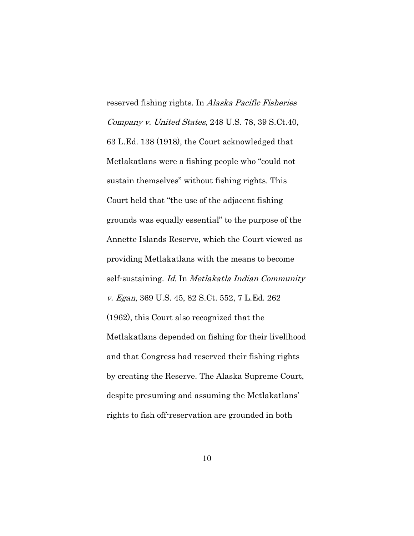reserved fishing rights. In Alaska Pacific Fisheries Company v. United States, 248 U.S. 78, 39 S.Ct.40, 63 L.Ed. 138 (1918), the Court acknowledged that Metlakatlans were a fishing people who "could not sustain themselves" without fishing rights. This Court held that "the use of the adjacent fishing grounds was equally essential" to the purpose of the Annette Islands Reserve, which the Court viewed as providing Metlakatlans with the means to become self-sustaining. Id. In Metlakatla Indian Community v. Egan, 369 U.S. 45, 82 S.Ct. 552, 7 L.Ed. 262 (1962), this Court also recognized that the Metlakatlans depended on fishing for their livelihood and that Congress had reserved their fishing rights by creating the Reserve. The Alaska Supreme Court, despite presuming and assuming the Metlakatlans' rights to fish off-reservation are grounded in both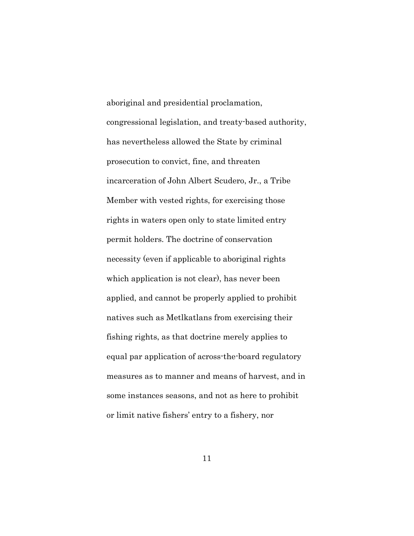aboriginal and presidential proclamation, congressional legislation, and treaty-based authority, has nevertheless allowed the State by criminal prosecution to convict, fine, and threaten incarceration of John Albert Scudero, Jr., a Tribe Member with vested rights, for exercising those rights in waters open only to state limited entry permit holders. The doctrine of conservation necessity (even if applicable to aboriginal rights which application is not clear), has never been applied, and cannot be properly applied to prohibit natives such as Metlkatlans from exercising their fishing rights, as that doctrine merely applies to equal par application of across-the-board regulatory measures as to manner and means of harvest, and in some instances seasons, and not as here to prohibit or limit native fishers' entry to a fishery, nor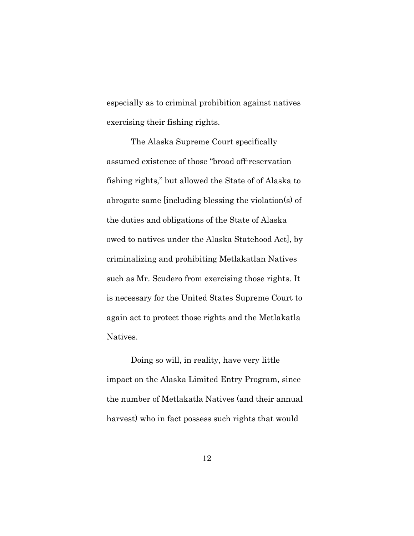especially as to criminal prohibition against natives exercising their fishing rights.

The Alaska Supreme Court specifically assumed existence of those "broad off-reservation fishing rights," but allowed the State of of Alaska to abrogate same [including blessing the violation(s) of the duties and obligations of the State of Alaska owed to natives under the Alaska Statehood Act], by criminalizing and prohibiting Metlakatlan Natives such as Mr. Scudero from exercising those rights. It is necessary for the United States Supreme Court to again act to protect those rights and the Metlakatla Natives.

Doing so will, in reality, have very little impact on the Alaska Limited Entry Program, since the number of Metlakatla Natives (and their annual harvest) who in fact possess such rights that would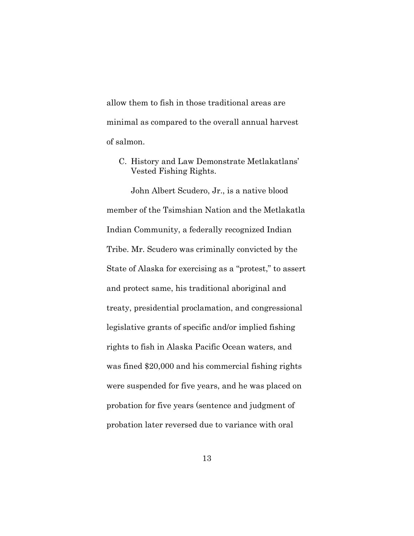allow them to fish in those traditional areas are minimal as compared to the overall annual harvest of salmon.

C. History and Law Demonstrate Metlakatlans' Vested Fishing Rights.

John Albert Scudero, Jr., is a native blood member of the Tsimshian Nation and the Metlakatla Indian Community, a federally recognized Indian Tribe. Mr. Scudero was criminally convicted by the State of Alaska for exercising as a "protest," to assert and protect same, his traditional aboriginal and treaty, presidential proclamation, and congressional legislative grants of specific and/or implied fishing rights to fish in Alaska Pacific Ocean waters, and was fined \$20,000 and his commercial fishing rights were suspended for five years, and he was placed on probation for five years (sentence and judgment of probation later reversed due to variance with oral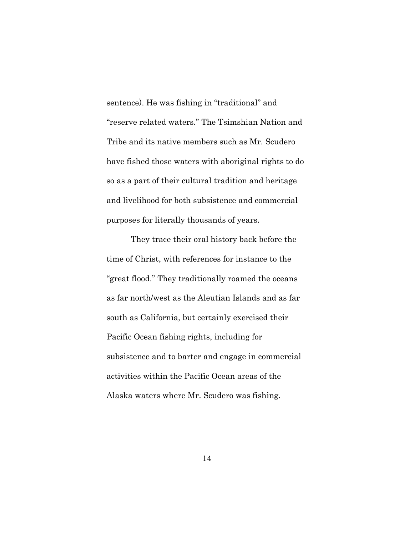sentence). He was fishing in "traditional" and "reserve related waters." The Tsimshian Nation and Tribe and its native members such as Mr. Scudero have fished those waters with aboriginal rights to do so as a part of their cultural tradition and heritage and livelihood for both subsistence and commercial purposes for literally thousands of years.

They trace their oral history back before the time of Christ, with references for instance to the "great flood." They traditionally roamed the oceans as far north/west as the Aleutian Islands and as far south as California, but certainly exercised their Pacific Ocean fishing rights, including for subsistence and to barter and engage in commercial activities within the Pacific Ocean areas of the Alaska waters where Mr. Scudero was fishing.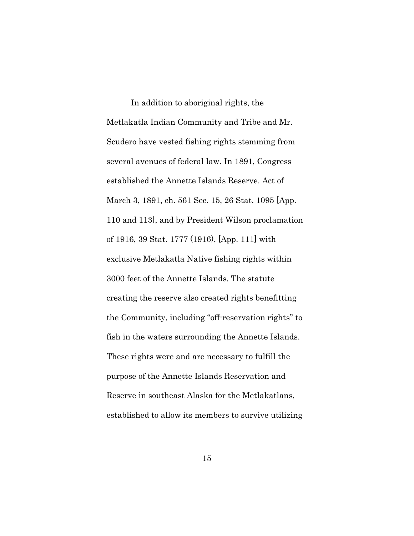In addition to aboriginal rights, the Metlakatla Indian Community and Tribe and Mr. Scudero have vested fishing rights stemming from several avenues of federal law. In 1891, Congress established the Annette Islands Reserve. Act of March 3, 1891, ch. 561 Sec. 15, 26 Stat. 1095 [App. 110 and 113], and by President Wilson proclamation of 1916, 39 Stat. 1777 (1916), [App. 111] with exclusive Metlakatla Native fishing rights within 3000 feet of the Annette Islands. The statute creating the reserve also created rights benefitting the Community, including "off-reservation rights" to fish in the waters surrounding the Annette Islands. These rights were and are necessary to fulfill the purpose of the Annette Islands Reservation and Reserve in southeast Alaska for the Metlakatlans, established to allow its members to survive utilizing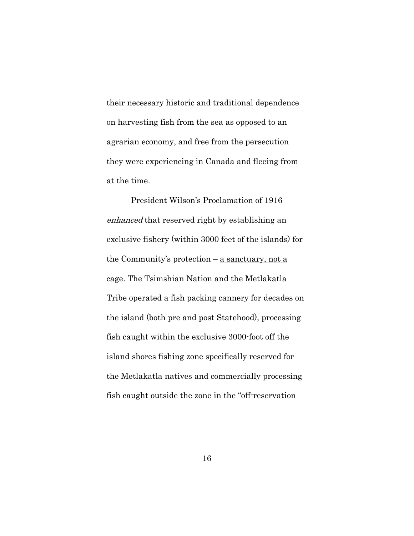their necessary historic and traditional dependence on harvesting fish from the sea as opposed to an agrarian economy, and free from the persecution they were experiencing in Canada and fleeing from at the time.

President Wilson's Proclamation of 1916 enhanced that reserved right by establishing an exclusive fishery (within 3000 feet of the islands) for the Community's protection – a sanctuary, not a cage. The Tsimshian Nation and the Metlakatla Tribe operated a fish packing cannery for decades on the island (both pre and post Statehood), processing fish caught within the exclusive 3000-foot off the island shores fishing zone specifically reserved for the Metlakatla natives and commercially processing fish caught outside the zone in the "off-reservation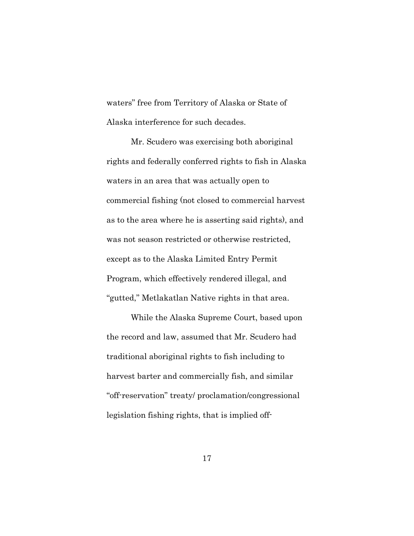waters" free from Territory of Alaska or State of Alaska interference for such decades.

Mr. Scudero was exercising both aboriginal rights and federally conferred rights to fish in Alaska waters in an area that was actually open to commercial fishing (not closed to commercial harvest as to the area where he is asserting said rights), and was not season restricted or otherwise restricted, except as to the Alaska Limited Entry Permit Program, which effectively rendered illegal, and "gutted," Metlakatlan Native rights in that area.

While the Alaska Supreme Court, based upon the record and law, assumed that Mr. Scudero had traditional aboriginal rights to fish including to harvest barter and commercially fish, and similar "off-reservation" treaty/ proclamation/congressional legislation fishing rights, that is implied off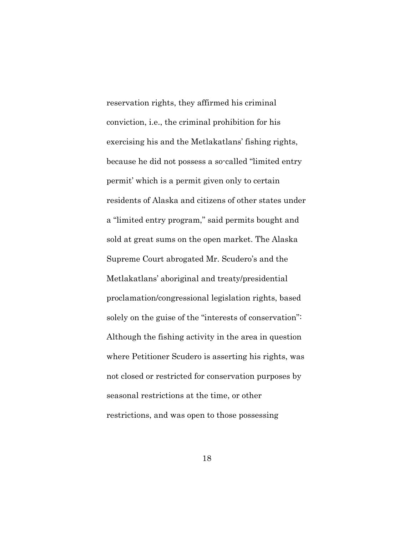reservation rights, they affirmed his criminal conviction, i.e., the criminal prohibition for his exercising his and the Metlakatlans' fishing rights, because he did not possess a so-called "limited entry permit' which is a permit given only to certain residents of Alaska and citizens of other states under a "limited entry program," said permits bought and sold at great sums on the open market. The Alaska Supreme Court abrogated Mr. Scudero's and the Metlakatlans' aboriginal and treaty/presidential proclamation/congressional legislation rights, based solely on the guise of the "interests of conservation": Although the fishing activity in the area in question where Petitioner Scudero is asserting his rights, was not closed or restricted for conservation purposes by seasonal restrictions at the time, or other restrictions, and was open to those possessing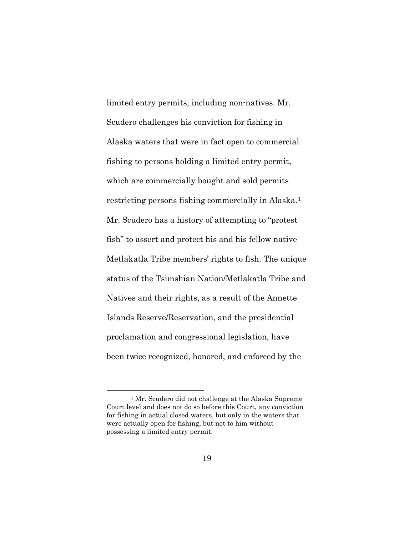limited entry permits, including non-natives. Mr. Scudero challenges his conviction for fishing in Alaska waters that were in fact open to commercial fishing to persons holding a limited entry permit, which are commercially bought and sold permits restricting persons fishing commercially in Alaska.[1](#page-42-0) Mr. Scudero has a history of attempting to "protest fish" to assert and protect his and his fellow native Metlakatla Tribe members' rights to fish. The unique status of the Tsimshian Nation/Metlakatla Tribe and Natives and their rights, as a result of the Annette Islands Reserve/Reservation, and the presidential proclamation and congressional legislation, have been twice recognized, honored, and enforced by the

<span id="page-42-0"></span><sup>1</sup> Mr. Scudero did not challenge at the Alaska Supreme Court level and does not do so before this Court, any conviction for fishing in actual closed waters, but only in the waters that were actually open for fishing, but not to him without possessing a limited entry permit.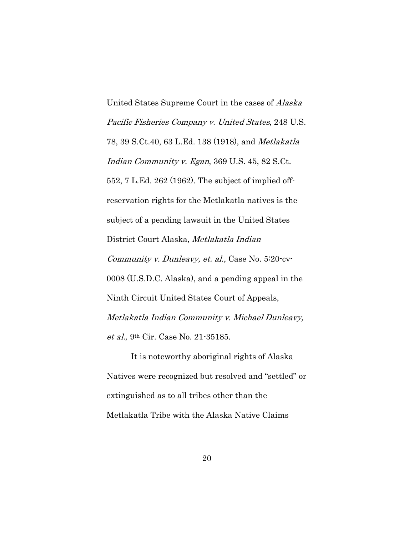United States Supreme Court in the cases of Alaska Pacific Fisheries Company v. United States, 248 U.S. 78, 39 S.Ct.40, 63 L.Ed. 138 (1918), and Metlakatla Indian Community v. Egan, 369 U.S. 45, 82 S.Ct. 552, 7 L.Ed. 262 (1962). The subject of implied offreservation rights for the Metlakatla natives is the subject of a pending lawsuit in the United States District Court Alaska, Metlakatla Indian Community v. Dunleavy, et. al., Case No. 5:20-cv-0008 (U.S.D.C. Alaska), and a pending appeal in the Ninth Circuit United States Court of Appeals, Metlakatla Indian Community v. Michael Dunleavy, et al., 9th Cir. Case No. 21-35185.

It is noteworthy aboriginal rights of Alaska Natives were recognized but resolved and "settled" or extinguished as to all tribes other than the Metlakatla Tribe with the Alaska Native Claims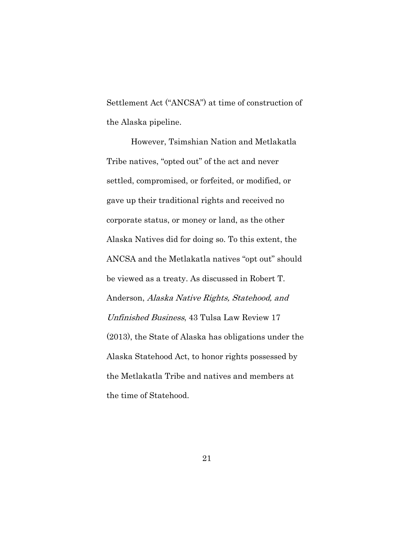Settlement Act ("ANCSA") at time of construction of the Alaska pipeline.

However, Tsimshian Nation and Metlakatla Tribe natives, "opted out" of the act and never settled, compromised, or forfeited, or modified, or gave up their traditional rights and received no corporate status, or money or land, as the other Alaska Natives did for doing so. To this extent, the ANCSA and the Metlakatla natives "opt out" should be viewed as a treaty. As discussed in Robert T. Anderson, Alaska Native Rights, Statehood, and Unfinished Business, 43 Tulsa Law Review 17 (2013), the State of Alaska has obligations under the Alaska Statehood Act, to honor rights possessed by the Metlakatla Tribe and natives and members at the time of Statehood.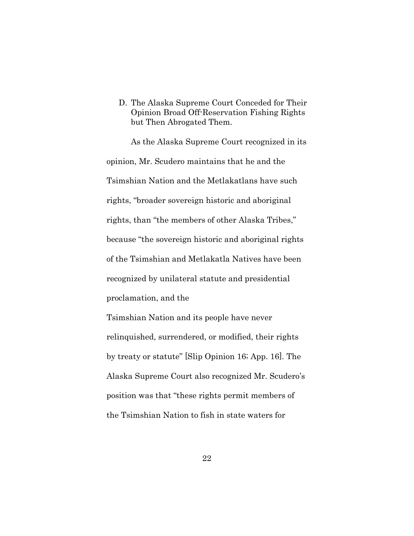D. The Alaska Supreme Court Conceded for Their Opinion Broad Off-Reservation Fishing Rights but Then Abrogated Them.

As the Alaska Supreme Court recognized in its opinion, Mr. Scudero maintains that he and the Tsimshian Nation and the Metlakatlans have such rights, "broader sovereign historic and aboriginal rights, than "the members of other Alaska Tribes," because "the sovereign historic and aboriginal rights of the Tsimshian and Metlakatla Natives have been recognized by unilateral statute and presidential proclamation, and the

Tsimshian Nation and its people have never relinquished, surrendered, or modified, their rights by treaty or statute" [Slip Opinion 16; App. 16]. The Alaska Supreme Court also recognized Mr. Scudero's position was that "these rights permit members of the Tsimshian Nation to fish in state waters for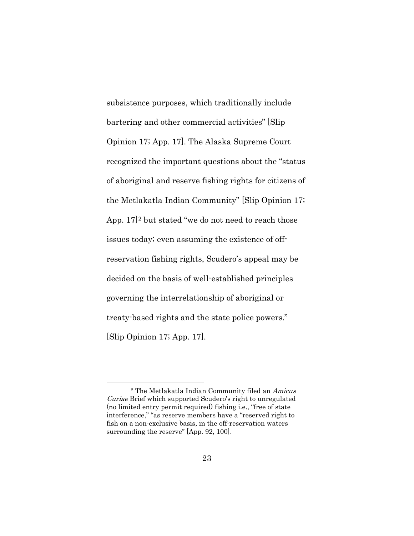subsistence purposes, which traditionally include bartering and other commercial activities" [Slip Opinion 17; App. 17]. The Alaska Supreme Court recognized the important questions about the "status of aboriginal and reserve fishing rights for citizens of the Metlakatla Indian Community" [Slip Opinion 17; App.  $17$ <sup>[2](#page-46-0)</sup> but stated "we do not need to reach those issues today; even assuming the existence of offreservation fishing rights, Scudero's appeal may be decided on the basis of well-established principles governing the interrelationship of aboriginal or treaty-based rights and the state police powers." [Slip Opinion 17; App. 17].

<span id="page-46-0"></span><sup>2</sup> The Metlakatla Indian Community filed an Amicus Curiae Brief which supported Scudero's right to unregulated (no limited entry permit required) fishing i.e., "free of state interference," "as reserve members have a "reserved right to fish on a non-exclusive basis, in the off-reservation waters surrounding the reserve" [App. 92, 100].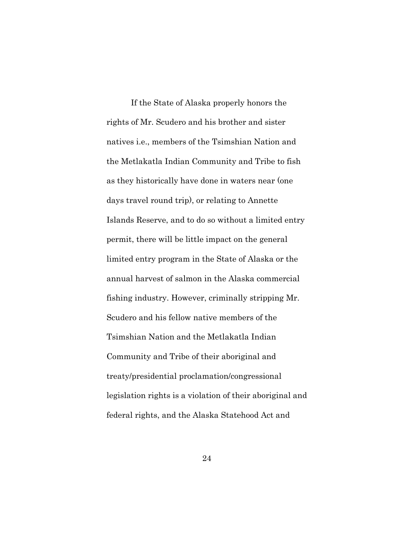If the State of Alaska properly honors the rights of Mr. Scudero and his brother and sister natives i.e., members of the Tsimshian Nation and the Metlakatla Indian Community and Tribe to fish as they historically have done in waters near (one days travel round trip), or relating to Annette Islands Reserve, and to do so without a limited entry permit, there will be little impact on the general limited entry program in the State of Alaska or the annual harvest of salmon in the Alaska commercial fishing industry. However, criminally stripping Mr. Scudero and his fellow native members of the Tsimshian Nation and the Metlakatla Indian Community and Tribe of their aboriginal and treaty/presidential proclamation/congressional legislation rights is a violation of their aboriginal and federal rights, and the Alaska Statehood Act and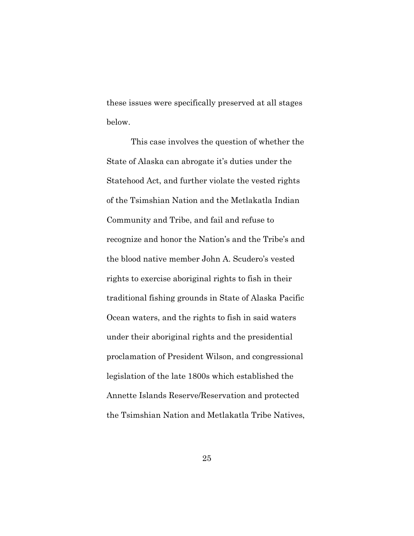these issues were specifically preserved at all stages below.

This case involves the question of whether the State of Alaska can abrogate it's duties under the Statehood Act, and further violate the vested rights of the Tsimshian Nation and the Metlakatla Indian Community and Tribe, and fail and refuse to recognize and honor the Nation's and the Tribe's and the blood native member John A. Scudero's vested rights to exercise aboriginal rights to fish in their traditional fishing grounds in State of Alaska Pacific Ocean waters, and the rights to fish in said waters under their aboriginal rights and the presidential proclamation of President Wilson, and congressional legislation of the late 1800s which established the Annette Islands Reserve/Reservation and protected the Tsimshian Nation and Metlakatla Tribe Natives,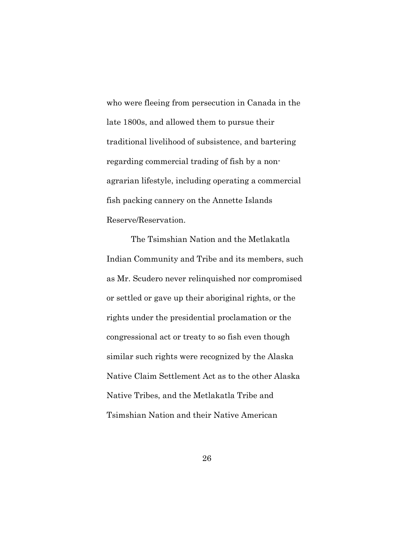who were fleeing from persecution in Canada in the late 1800s, and allowed them to pursue their traditional livelihood of subsistence, and bartering regarding commercial trading of fish by a nonagrarian lifestyle, including operating a commercial fish packing cannery on the Annette Islands Reserve/Reservation.

The Tsimshian Nation and the Metlakatla Indian Community and Tribe and its members, such as Mr. Scudero never relinquished nor compromised or settled or gave up their aboriginal rights, or the rights under the presidential proclamation or the congressional act or treaty to so fish even though similar such rights were recognized by the Alaska Native Claim Settlement Act as to the other Alaska Native Tribes, and the Metlakatla Tribe and Tsimshian Nation and their Native American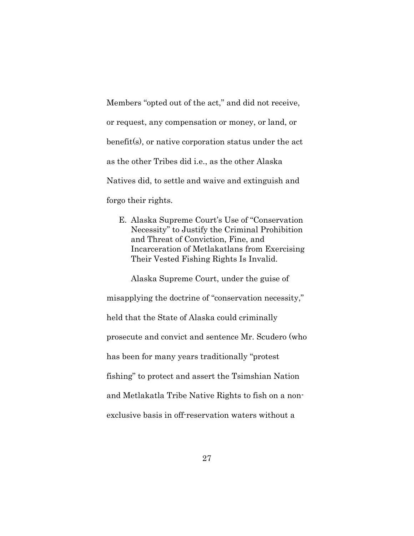Members "opted out of the act," and did not receive, or request, any compensation or money, or land, or benefit(s), or native corporation status under the act as the other Tribes did i.e., as the other Alaska Natives did, to settle and waive and extinguish and forgo their rights.

E. Alaska Supreme Court's Use of "Conservation Necessity" to Justify the Criminal Prohibition and Threat of Conviction, Fine, and Incarceration of Metlakatlans from Exercising Their Vested Fishing Rights Is Invalid.

Alaska Supreme Court, under the guise of misapplying the doctrine of "conservation necessity," held that the State of Alaska could criminally prosecute and convict and sentence Mr. Scudero (who has been for many years traditionally "protest fishing" to protect and assert the Tsimshian Nation and Metlakatla Tribe Native Rights to fish on a nonexclusive basis in off-reservation waters without a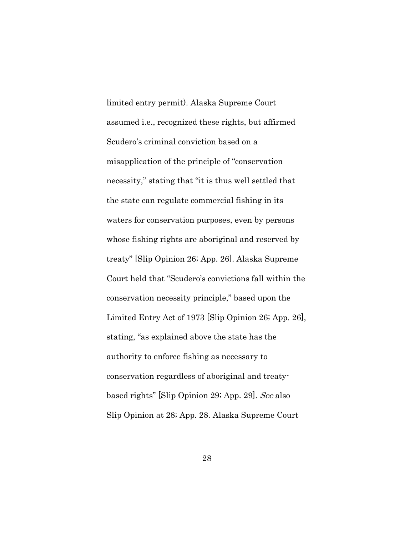limited entry permit). Alaska Supreme Court assumed i.e., recognized these rights, but affirmed Scudero's criminal conviction based on a misapplication of the principle of "conservation necessity," stating that "it is thus well settled that the state can regulate commercial fishing in its waters for conservation purposes, even by persons whose fishing rights are aboriginal and reserved by treaty" [Slip Opinion 26; App. 26]. Alaska Supreme Court held that "Scudero's convictions fall within the conservation necessity principle," based upon the Limited Entry Act of 1973 [Slip Opinion 26; App. 26], stating, "as explained above the state has the authority to enforce fishing as necessary to conservation regardless of aboriginal and treatybased rights" [Slip Opinion 29; App. 29]. See also Slip Opinion at 28; App. 28. Alaska Supreme Court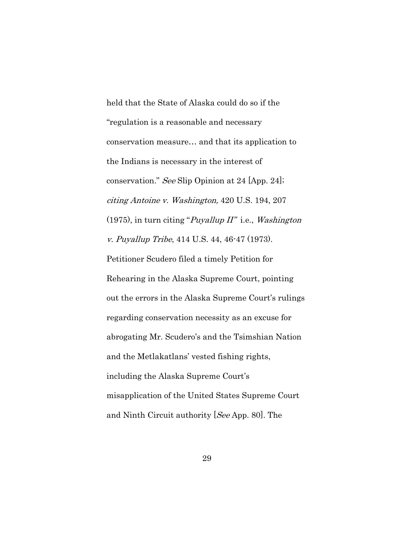held that the State of Alaska could do so if the "regulation is a reasonable and necessary conservation measure… and that its application to the Indians is necessary in the interest of conservation." See Slip Opinion at 24 [App. 24]; citing Antoine v. Washington, 420 U.S. 194, 207 (1975), in turn citing "*Puyallup II*" i.e., *Washington* v. Puyallup Tribe, 414 U.S. 44, 46-47 (1973). Petitioner Scudero filed a timely Petition for Rehearing in the Alaska Supreme Court, pointing out the errors in the Alaska Supreme Court's rulings regarding conservation necessity as an excuse for abrogating Mr. Scudero's and the Tsimshian Nation and the Metlakatlans' vested fishing rights, including the Alaska Supreme Court's misapplication of the United States Supreme Court and Ninth Circuit authority [See App. 80]. The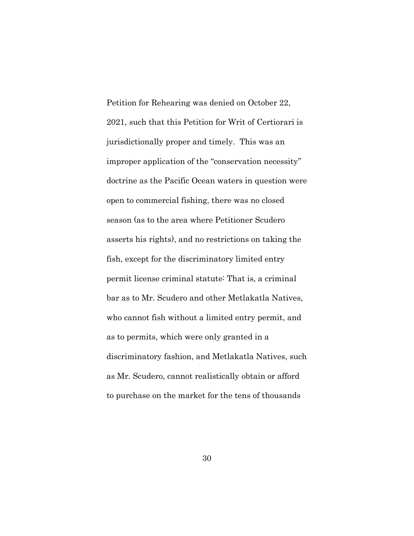Petition for Rehearing was denied on October 22, 2021, such that this Petition for Writ of Certiorari is jurisdictionally proper and timely. This was an improper application of the "conservation necessity" doctrine as the Pacific Ocean waters in question were open to commercial fishing, there was no closed season (as to the area where Petitioner Scudero asserts his rights), and no restrictions on taking the fish, except for the discriminatory limited entry permit license criminal statute: That is, a criminal bar as to Mr. Scudero and other Metlakatla Natives, who cannot fish without a limited entry permit, and as to permits, which were only granted in a discriminatory fashion, and Metlakatla Natives, such as Mr. Scudero, cannot realistically obtain or afford to purchase on the market for the tens of thousands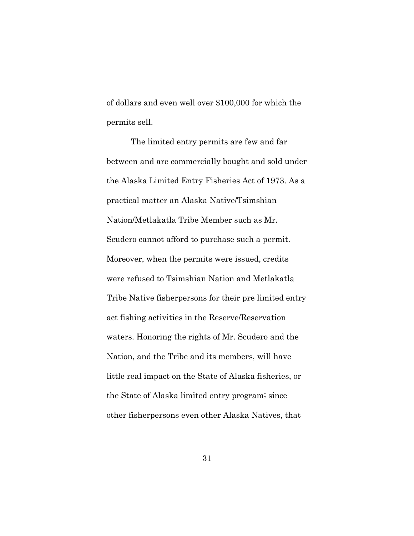of dollars and even well over \$100,000 for which the permits sell.

The limited entry permits are few and far between and are commercially bought and sold under the Alaska Limited Entry Fisheries Act of 1973. As a practical matter an Alaska Native/Tsimshian Nation/Metlakatla Tribe Member such as Mr. Scudero cannot afford to purchase such a permit. Moreover, when the permits were issued, credits were refused to Tsimshian Nation and Metlakatla Tribe Native fisherpersons for their pre limited entry act fishing activities in the Reserve/Reservation waters. Honoring the rights of Mr. Scudero and the Nation, and the Tribe and its members, will have little real impact on the State of Alaska fisheries, or the State of Alaska limited entry program; since other fisherpersons even other Alaska Natives, that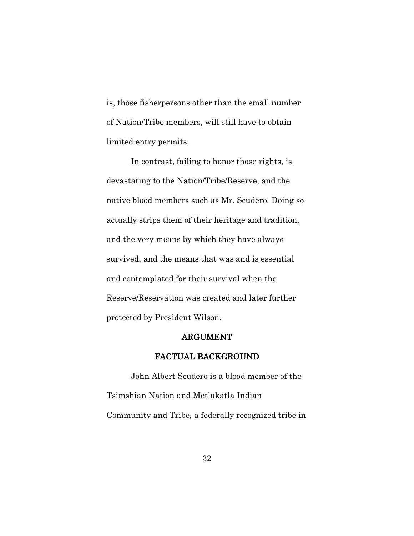is, those fisherpersons other than the small number of Nation/Tribe members, will still have to obtain limited entry permits.

In contrast, failing to honor those rights, is devastating to the Nation/Tribe/Reserve, and the native blood members such as Mr. Scudero. Doing so actually strips them of their heritage and tradition, and the very means by which they have always survived, and the means that was and is essential and contemplated for their survival when the Reserve/Reservation was created and later further protected by President Wilson.

#### ARGUMENT

### FACTUAL BACKGROUND

John Albert Scudero is a blood member of the Tsimshian Nation and Metlakatla Indian Community and Tribe, a federally recognized tribe in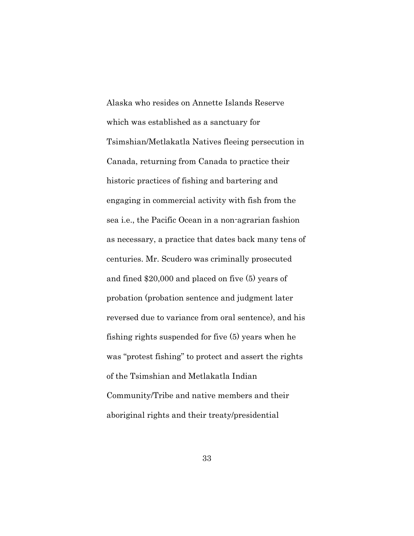Alaska who resides on Annette Islands Reserve which was established as a sanctuary for Tsimshian/Metlakatla Natives fleeing persecution in Canada, returning from Canada to practice their historic practices of fishing and bartering and engaging in commercial activity with fish from the sea i.e., the Pacific Ocean in a non-agrarian fashion as necessary, a practice that dates back many tens of centuries. Mr. Scudero was criminally prosecuted and fined \$20,000 and placed on five (5) years of probation (probation sentence and judgment later reversed due to variance from oral sentence), and his fishing rights suspended for five (5) years when he was "protest fishing" to protect and assert the rights of the Tsimshian and Metlakatla Indian Community/Tribe and native members and their aboriginal rights and their treaty/presidential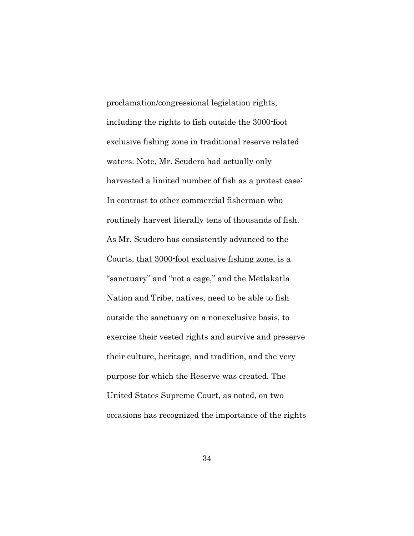proclamation/congressional legislation rights, including the rights to fish outside the 3000-foot exclusive fishing zone in traditional reserve related waters. Note, Mr. Scudero had actually only harvested a limited number of fish as a protest case: In contrast to other commercial fisherman who routinely harvest literally tens of thousands of fish. As Mr. Scudero has consistently advanced to the Courts, that 3000-foot exclusive fishing zone, is a "sanctuary" and "not a cage," and the Metlakatla Nation and Tribe, natives, need to be able to fish outside the sanctuary on a nonexclusive basis, to exercise their vested rights and survive and preserve their culture, heritage, and tradition, and the very purpose for which the Reserve was created. The United States Supreme Court, as noted, on two occasions has recognized the importance of the rights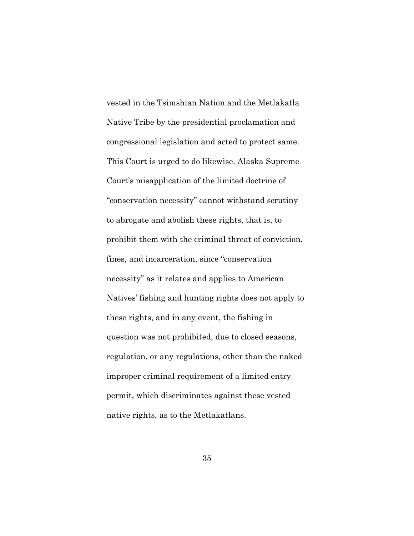vested in the Tsimshian Nation and the Metlakatla Native Tribe by the presidential proclamation and congressional legislation and acted to protect same. This Court is urged to do likewise. Alaska Supreme Court's misapplication of the limited doctrine of "conservation necessity" cannot withstand scrutiny to abrogate and abolish these rights, that is, to prohibit them with the criminal threat of conviction, fines, and incarceration, since "conservation necessity" as it relates and applies to American Natives' fishing and hunting rights does not apply to these rights, and in any event, the fishing in question was not prohibited, due to closed seasons, regulation, or any regulations, other than the naked improper criminal requirement of a limited entry permit, which discriminates against these vested native rights, as to the Metlakatlans.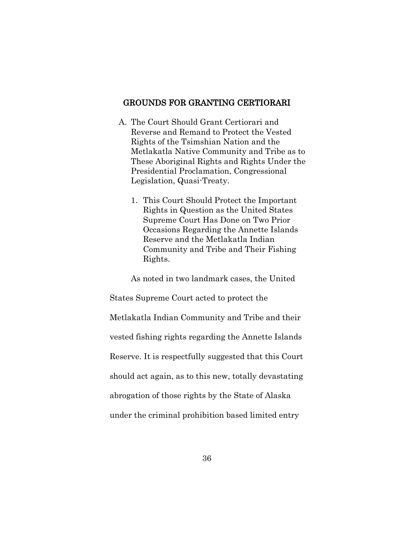#### GROUNDS FOR GRANTING CERTIORARI

- A. The Court Should Grant Certiorari and Reverse and Remand to Protect the Vested Rights of the Tsimshian Nation and the Metlakatla Native Community and Tribe as to These Aboriginal Rights and Rights Under the Presidential Proclamation, Congressional Legislation, Quasi-Treaty.
	- 1. This Court Should Protect the Important Rights in Question as the United States Supreme Court Has Done on Two Prior Occasions Regarding the Annette Islands Reserve and the Metlakatla Indian Community and Tribe and Their Fishing Rights.

As noted in two landmark cases, the United States Supreme Court acted to protect the Metlakatla Indian Community and Tribe and their vested fishing rights regarding the Annette Islands Reserve. It is respectfully suggested that this Court should act again, as to this new, totally devastating abrogation of those rights by the State of Alaska under the criminal prohibition based limited entry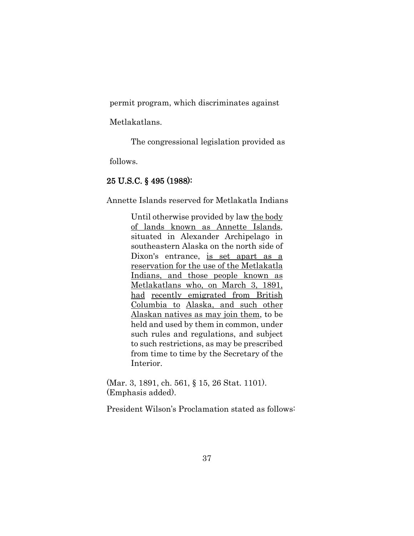permit program, which discriminates against

Metlakatlans.

The congressional legislation provided as

follows.

## 25 U.S.C. § 495 (1988):

Annette Islands reserved for Metlakatla Indians

Until otherwise provided by law the body of lands known as Annette Islands, situated in Alexander Archipelago in southeastern Alaska on the north side of Dixon's entrance, is set apart as a reservation for the use of the Metlakatla Indians, and those people known as Metlakatlans who, on March 3, 1891, had recently emigrated from British Columbia to Alaska, and such other Alaskan natives as may join them, to be held and used by them in common, under such rules and regulations, and subject to such restrictions, as may be prescribed from time to time by the Secretary of the Interior.

(Mar. 3, 1891, ch. 561, § 15, 26 Stat. 1101). (Emphasis added).

President Wilson's Proclamation stated as follows: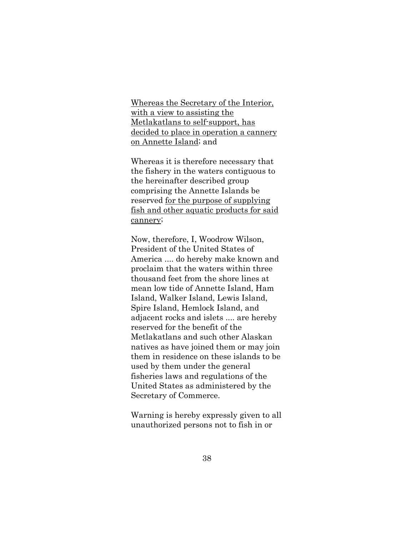Whereas the Secretary of the Interior, with a view to assisting the Metlakatlans to self-support, has decided to place in operation a cannery on Annette Island; and

Whereas it is therefore necessary that the fishery in the waters contiguous to the hereinafter described group comprising the Annette Islands be reserved for the purpose of supplying fish and other aquatic products for said cannery;

Now, therefore, I, Woodrow Wilson, President of the United States of America .... do hereby make known and proclaim that the waters within three thousand feet from the shore lines at mean low tide of Annette Island, Ham Island, Walker Island, Lewis Island, Spire Island, Hemlock Island, and adjacent rocks and islets .... are hereby reserved for the benefit of the Metlakatlans and such other Alaskan natives as have joined them or may join them in residence on these islands to be used by them under the general fisheries laws and regulations of the United States as administered by the Secretary of Commerce.

Warning is hereby expressly given to all unauthorized persons not to fish in or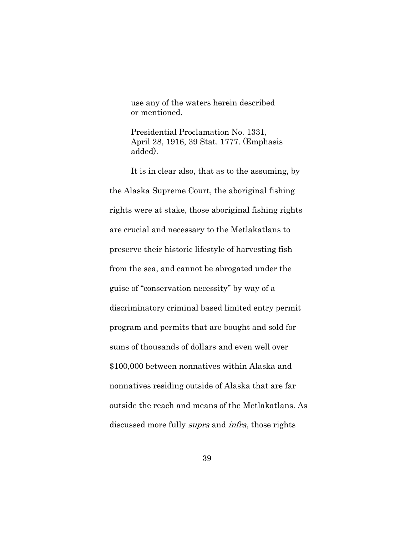use any of the waters herein described or mentioned.

Presidential Proclamation No. 1331, April 28, 1916, 39 Stat. 1777. (Emphasis added).

It is in clear also, that as to the assuming, by the Alaska Supreme Court, the aboriginal fishing rights were at stake, those aboriginal fishing rights are crucial and necessary to the Metlakatlans to preserve their historic lifestyle of harvesting fish from the sea, and cannot be abrogated under the guise of "conservation necessity" by way of a discriminatory criminal based limited entry permit program and permits that are bought and sold for sums of thousands of dollars and even well over \$100,000 between nonnatives within Alaska and nonnatives residing outside of Alaska that are far outside the reach and means of the Metlakatlans. As discussed more fully supra and infra, those rights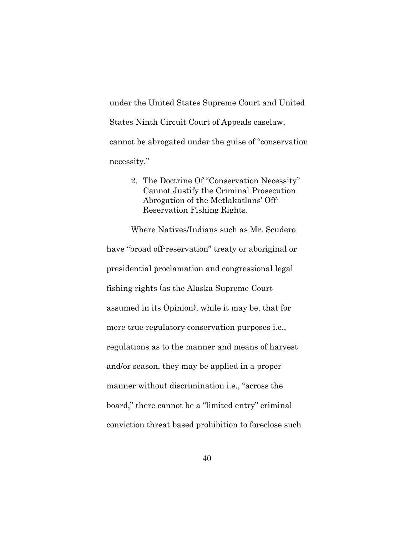under the United States Supreme Court and United States Ninth Circuit Court of Appeals caselaw, cannot be abrogated under the guise of "conservation necessity."

> 2. The Doctrine Of "Conservation Necessity" Cannot Justify the Criminal Prosecution Abrogation of the Metlakatlans' Off-Reservation Fishing Rights.

Where Natives/Indians such as Mr. Scudero have "broad off-reservation" treaty or aboriginal or presidential proclamation and congressional legal fishing rights (as the Alaska Supreme Court assumed in its Opinion), while it may be, that for mere true regulatory conservation purposes i.e., regulations as to the manner and means of harvest and/or season, they may be applied in a proper manner without discrimination i.e., "across the board," there cannot be a "limited entry" criminal conviction threat based prohibition to foreclose such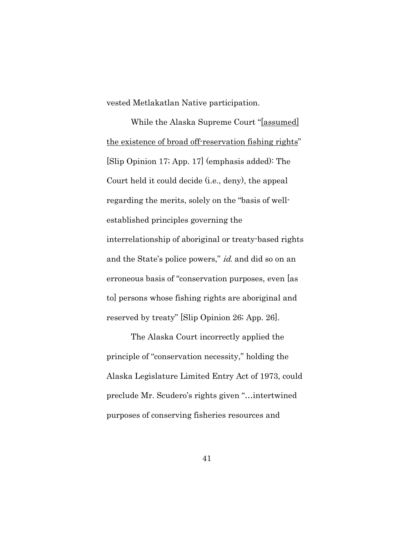vested Metlakatlan Native participation.

While the Alaska Supreme Court "[assumed] the existence of broad off-reservation fishing rights" [Slip Opinion 17; App. 17] (emphasis added): The Court held it could decide (i.e., deny), the appeal regarding the merits, solely on the "basis of wellestablished principles governing the interrelationship of aboriginal or treaty-based rights and the State's police powers," id. and did so on an erroneous basis of "conservation purposes, even [as to] persons whose fishing rights are aboriginal and reserved by treaty" [Slip Opinion 26; App. 26].

The Alaska Court incorrectly applied the principle of "conservation necessity," holding the Alaska Legislature Limited Entry Act of 1973, could preclude Mr. Scudero's rights given "…intertwined purposes of conserving fisheries resources and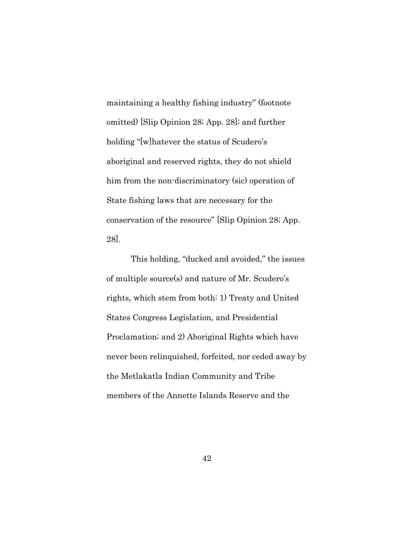maintaining a healthy fishing industry" (footnote omitted) [Slip Opinion 28; App. 28]; and further holding "[w]hatever the status of Scudero's aboriginal and reserved rights, they do not shield him from the non-discriminatory (sic) operation of State fishing laws that are necessary for the conservation of the resource" [Slip Opinion 28; App. 28].

This holding, "ducked and avoided," the issues of multiple source(s) and nature of Mr. Scudero's rights, which stem from both: 1) Treaty and United States Congress Legislation, and Presidential Proclamation; and 2) Aboriginal Rights which have never been relinquished, forfeited, nor ceded away by the Metlakatla Indian Community and Tribe members of the Annette Islands Reserve and the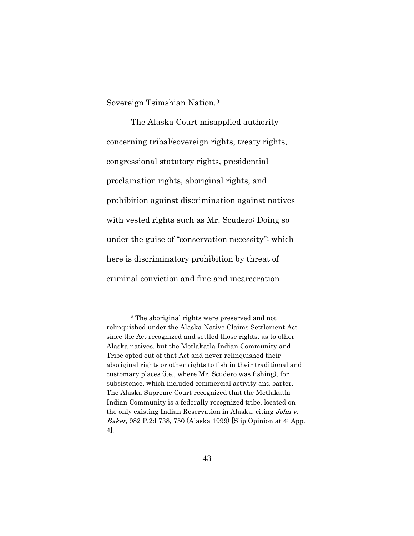Sovereign Tsimshian Nation.[3](#page-66-0)

The Alaska Court misapplied authority concerning tribal/sovereign rights, treaty rights, congressional statutory rights, presidential proclamation rights, aboriginal rights, and prohibition against discrimination against natives with vested rights such as Mr. Scudero: Doing so under the guise of "conservation necessity"; which here is discriminatory prohibition by threat of criminal conviction and fine and incarceration

<span id="page-66-0"></span><sup>3</sup> The aboriginal rights were preserved and not relinquished under the Alaska Native Claims Settlement Act since the Act recognized and settled those rights, as to other Alaska natives, but the Metlakatla Indian Community and Tribe opted out of that Act and never relinquished their aboriginal rights or other rights to fish in their traditional and customary places (i.e., where Mr. Scudero was fishing), for subsistence, which included commercial activity and barter. The Alaska Supreme Court recognized that the Metlakatla Indian Community is a federally recognized tribe, located on the only existing Indian Reservation in Alaska, citing John v. Baker, 982 P.2d 738, 750 (Alaska 1999) [Slip Opinion at 4; App. 4].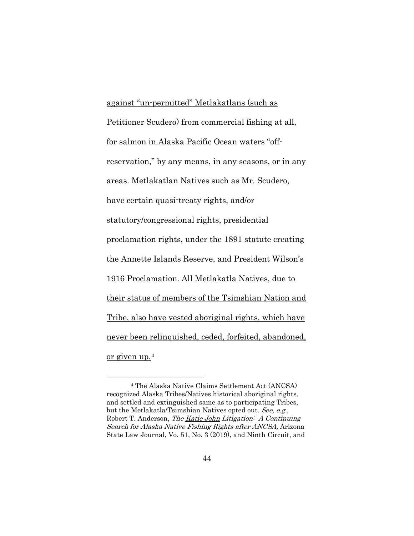against "un-permitted" Metlakatlans (such as Petitioner Scudero) from commercial fishing at all, for salmon in Alaska Pacific Ocean waters "offreservation," by any means, in any seasons, or in any areas. Metlakatlan Natives such as Mr. Scudero, have certain quasi-treaty rights, and/or statutory/congressional rights, presidential proclamation rights, under the 1891 statute creating the Annette Islands Reserve, and President Wilson's 1916 Proclamation. All Metlakatla Natives, due to their status of members of the Tsimshian Nation and Tribe, also have vested aboriginal rights, which have never been relinquished, ceded, forfeited, abandoned, or given up.[4](#page-67-0)

<span id="page-67-0"></span><sup>4</sup> The Alaska Native Claims Settlement Act (ANCSA) recognized Alaska Tribes/Natives historical aboriginal rights, and settled and extinguished same as to participating Tribes, but the Metlakatla/Tsimshian Natives opted out. See, e.g., Robert T. Anderson, The Katie John Litigation: A Continuing Search for Alaska Native Fishing Rights after ANCSA, Arizona State Law Journal, Vo. 51, No. 3 (2019), and Ninth Circuit, and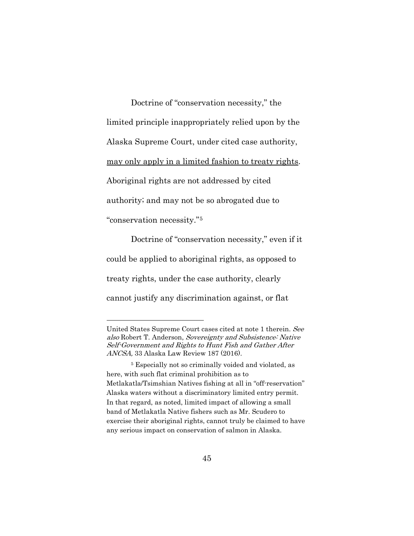Doctrine of "conservation necessity," the limited principle inappropriately relied upon by the Alaska Supreme Court, under cited case authority, may only apply in a limited fashion to treaty rights. Aboriginal rights are not addressed by cited authority; and may not be so abrogated due to

"conservation necessity."[5](#page-68-0)

Doctrine of "conservation necessity," even if it could be applied to aboriginal rights, as opposed to treaty rights, under the case authority, clearly cannot justify any discrimination against, or flat

United States Supreme Court cases cited at note 1 therein. See also Robert T. Anderson, Sovereignty and Subsistence: Native Self-Government and Rights to Hunt Fish and Gather After ANCSA, 33 Alaska Law Review 187 (2016).

<span id="page-68-0"></span><sup>5</sup> Especially not so criminally voided and violated, as here, with such flat criminal prohibition as to Metlakatla/Tsimshian Natives fishing at all in "off-reservation" Alaska waters without a discriminatory limited entry permit. In that regard, as noted, limited impact of allowing a small band of Metlakatla Native fishers such as Mr. Scudero to exercise their aboriginal rights, cannot truly be claimed to have any serious impact on conservation of salmon in Alaska.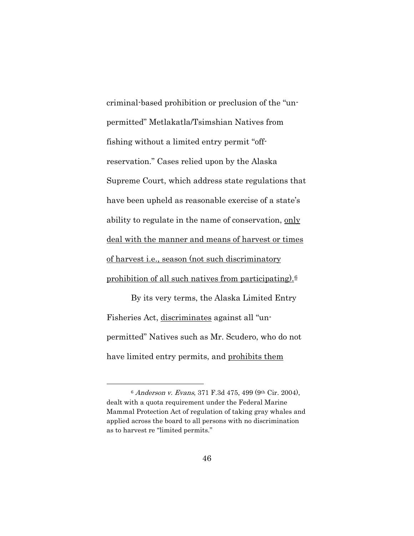criminal-based prohibition or preclusion of the "unpermitted" Metlakatla/Tsimshian Natives from fishing without a limited entry permit "offreservation." Cases relied upon by the Alaska Supreme Court, which address state regulations that have been upheld as reasonable exercise of a state's ability to regulate in the name of conservation, only deal with the manner and means of harvest or times of harvest i.e., season (not such discriminatory prohibition of all such natives from participating). $6$ 

By its very terms, the Alaska Limited Entry Fisheries Act, discriminates against all "unpermitted" Natives such as Mr. Scudero, who do not have limited entry permits, and prohibits them

<span id="page-69-0"></span><sup>6</sup> Anderson v. Evans, 371 F.3d 475, 499 (9th Cir. 2004), dealt with a quota requirement under the Federal Marine Mammal Protection Act of regulation of taking gray whales and applied across the board to all persons with no discrimination as to harvest re "limited permits."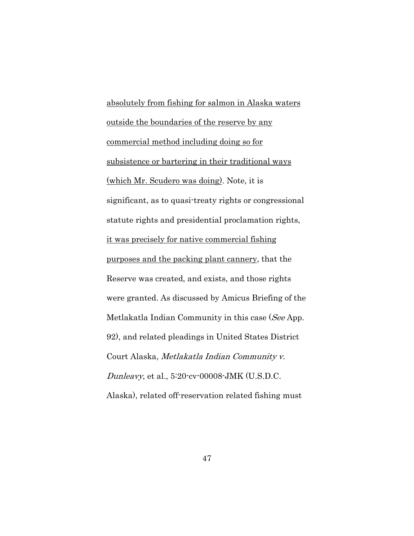absolutely from fishing for salmon in Alaska waters outside the boundaries of the reserve by any commercial method including doing so for subsistence or bartering in their traditional ways (which Mr. Scudero was doing). Note, it is significant, as to quasi-treaty rights or congressional statute rights and presidential proclamation rights, it was precisely for native commercial fishing purposes and the packing plant cannery, that the Reserve was created, and exists, and those rights were granted. As discussed by Amicus Briefing of the Metlakatla Indian Community in this case (See App. 92), and related pleadings in United States District Court Alaska, Metlakatla Indian Community v. Dunleavy, et al., 5:20-cv-00008-JMK (U.S.D.C. Alaska), related off-reservation related fishing must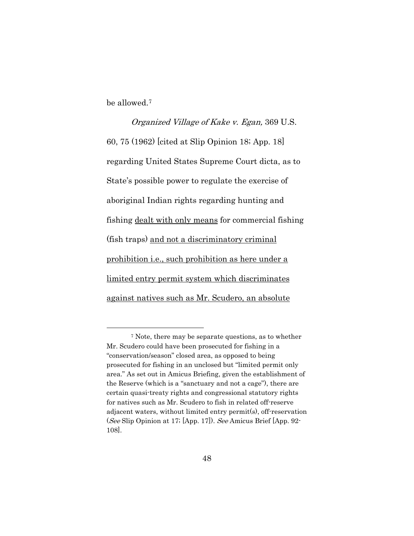be allowed.[7](#page-71-0)

# Organized Village of Kake v. Egan, 369 U.S. 60, 75 (1962) [cited at Slip Opinion 18; App. 18] regarding United States Supreme Court dicta, as to State's possible power to regulate the exercise of aboriginal Indian rights regarding hunting and fishing dealt with only means for commercial fishing (fish traps) and not a discriminatory criminal prohibition i.e., such prohibition as here under a limited entry permit system which discriminates against natives such as Mr. Scudero, an absolute

<span id="page-71-0"></span><sup>7</sup> Note, there may be separate questions, as to whether Mr. Scudero could have been prosecuted for fishing in a "conservation/season" closed area, as opposed to being prosecuted for fishing in an unclosed but "limited permit only area." As set out in Amicus Briefing, given the establishment of the Reserve (which is a "sanctuary and not a cage"), there are certain quasi-treaty rights and congressional statutory rights for natives such as Mr. Scudero to fish in related off-reserve adjacent waters, without limited entry permit(s), off-reservation (See Slip Opinion at 17; [App. 17]). See Amicus Brief [App. 92- 108].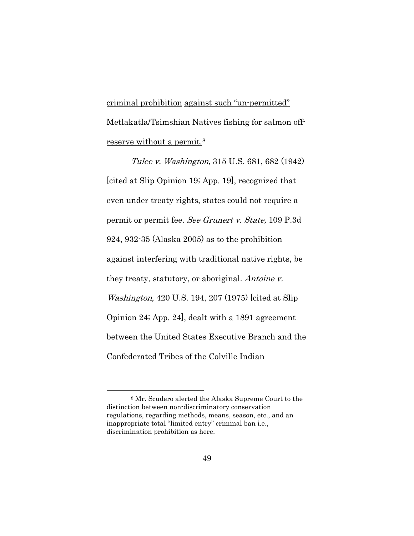criminal prohibition against such "un-permitted" Metlakatla/Tsimshian Natives fishing for salmon offreserve without a permit. $8$ 

Tulee v. Washington, 315 U.S. 681, 682 (1942) [cited at Slip Opinion 19; App. 19], recognized that even under treaty rights, states could not require a permit or permit fee. See Grunert v. State, 109 P.3d 924, 932-35 (Alaska 2005) as to the prohibition against interfering with traditional native rights, be they treaty, statutory, or aboriginal. Antoine v. Washington, 420 U.S. 194, 207 (1975) [cited at Slip Opinion 24; App. 24], dealt with a 1891 agreement between the United States Executive Branch and the Confederated Tribes of the Colville Indian

<span id="page-72-0"></span><sup>8</sup> Mr. Scudero alerted the Alaska Supreme Court to the distinction between non-discriminatory conservation regulations, regarding methods, means, season, etc., and an inappropriate total "limited entry" criminal ban i.e., discrimination prohibition as here.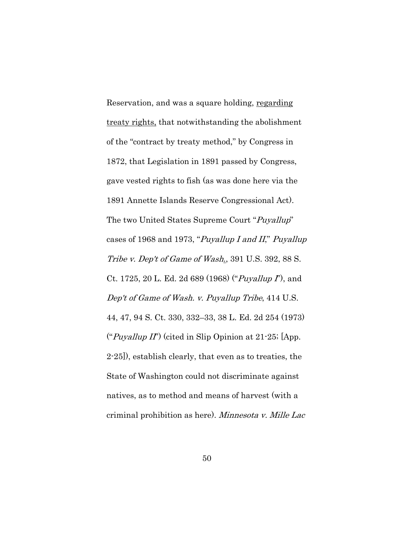Reservation, and was a square holding, regarding treaty rights, that notwithstanding the abolishment of the "contract by treaty method," by Congress in 1872, that Legislation in 1891 passed by Congress, gave vested rights to fish (as was done here via the 1891 Annette Islands Reserve Congressional Act). The two United States Supreme Court "Puyallup" cases of 1968 and 1973, "Puyallup I and II," Puyallup Tribe v. Dep't of Game of Wash., 391 U.S. 392, 88 S. Ct. 1725, 20 L. Ed. 2d 689 (1968) ("*Puyallup I*"), and Dep't of Game of Wash. v. Puyallup Tribe, 414 U.S. 44, 47, 94 S. Ct. 330, 332–33, 38 L. Ed. 2d 254 (1973) ("Puyallup II") (cited in Slip Opinion at  $21-25$ ; [App. 2-25]), establish clearly, that even as to treaties, the State of Washington could not discriminate against natives, as to method and means of harvest (with a criminal prohibition as here). Minnesota v. Mille Lac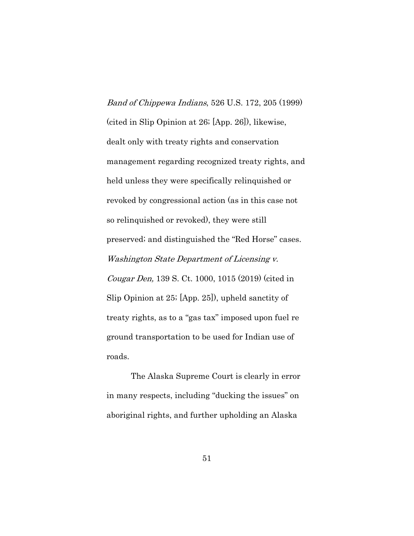Band of Chippewa Indians, 526 U.S. 172, 205 (1999) (cited in Slip Opinion at 26; [App. 26]), likewise, dealt only with treaty rights and conservation management regarding recognized treaty rights, and held unless they were specifically relinquished or revoked by congressional action (as in this case not so relinquished or revoked), they were still preserved; and distinguished the "Red Horse" cases. Washington State Department of Licensing v. Cougar Den, 139 S. Ct. 1000, 1015 (2019) (cited in Slip Opinion at 25; [App. 25]), upheld sanctity of treaty rights, as to a "gas tax" imposed upon fuel re ground transportation to be used for Indian use of roads.

The Alaska Supreme Court is clearly in error in many respects, including "ducking the issues" on aboriginal rights, and further upholding an Alaska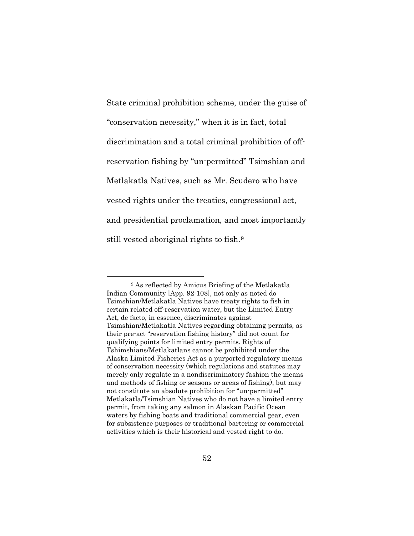State criminal prohibition scheme, under the guise of "conservation necessity," when it is in fact, total discrimination and a total criminal prohibition of offreservation fishing by "un-permitted" Tsimshian and Metlakatla Natives, such as Mr. Scudero who have vested rights under the treaties, congressional act, and presidential proclamation, and most importantly still vested aboriginal rights to fish.[9](#page-75-0)

<span id="page-75-0"></span><sup>9</sup> As reflected by Amicus Briefing of the Metlakatla Indian Community [App. 92-108], not only as noted do Tsimshian/Metlakatla Natives have treaty rights to fish in certain related off-reservation water, but the Limited Entry Act, de facto, in essence, discriminates against Tsimshian/Metlakatla Natives regarding obtaining permits, as their pre-act "reservation fishing history" did not count for qualifying points for limited entry permits. Rights of Tshimshians/Metlakatlans cannot be prohibited under the Alaska Limited Fisheries Act as a purported regulatory means of conservation necessity (which regulations and statutes may merely only regulate in a nondiscriminatory fashion the means and methods of fishing or seasons or areas of fishing), but may not constitute an absolute prohibition for "un-permitted" Metlakatla/Tsimshian Natives who do not have a limited entry permit, from taking any salmon in Alaskan Pacific Ocean waters by fishing boats and traditional commercial gear, even for subsistence purposes or traditional bartering or commercial activities which is their historical and vested right to do.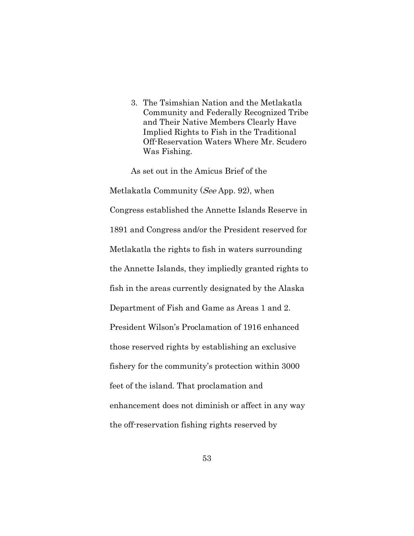3. The Tsimshian Nation and the Metlakatla Community and Federally Recognized Tribe and Their Native Members Clearly Have Implied Rights to Fish in the Traditional Off-Reservation Waters Where Mr. Scudero Was Fishing.

As set out in the Amicus Brief of the Metlakatla Community (See App. 92), when Congress established the Annette Islands Reserve in 1891 and Congress and/or the President reserved for Metlakatla the rights to fish in waters surrounding the Annette Islands, they impliedly granted rights to fish in the areas currently designated by the Alaska Department of Fish and Game as Areas 1 and 2. President Wilson's Proclamation of 1916 enhanced those reserved rights by establishing an exclusive fishery for the community's protection within 3000 feet of the island. That proclamation and enhancement does not diminish or affect in any way the off-reservation fishing rights reserved by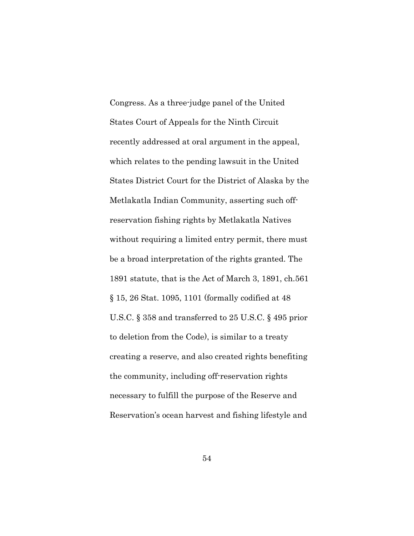Congress. As a three-judge panel of the United States Court of Appeals for the Ninth Circuit recently addressed at oral argument in the appeal, which relates to the pending lawsuit in the United States District Court for the District of Alaska by the Metlakatla Indian Community, asserting such offreservation fishing rights by Metlakatla Natives without requiring a limited entry permit, there must be a broad interpretation of the rights granted. The 1891 statute, that is the Act of March 3, 1891, ch.561 § 15, 26 Stat. 1095, 1101 (formally codified at 48 U.S.C. § 358 and transferred to 25 U.S.C. § 495 prior to deletion from the Code), is similar to a treaty creating a reserve, and also created rights benefiting the community, including off-reservation rights necessary to fulfill the purpose of the Reserve and Reservation's ocean harvest and fishing lifestyle and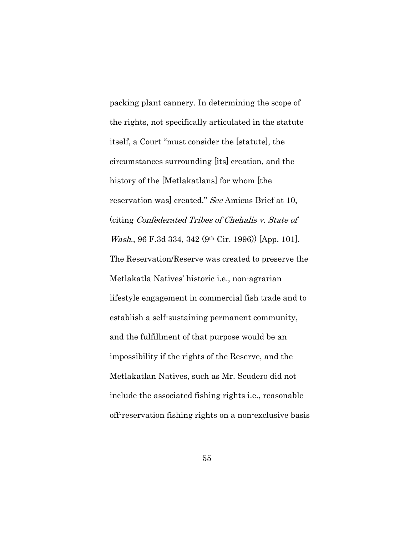packing plant cannery. In determining the scope of the rights, not specifically articulated in the statute itself, a Court "must consider the [statute], the circumstances surrounding [its] creation, and the history of the [Metlakatlans] for whom [the reservation was] created." See Amicus Brief at 10, (citing Confederated Tribes of Chehalis v. State of Wash., 96 F.3d 334, 342 (9th Cir. 1996)) [App. 101]. The Reservation/Reserve was created to preserve the Metlakatla Natives' historic i.e., non-agrarian lifestyle engagement in commercial fish trade and to establish a self-sustaining permanent community, and the fulfillment of that purpose would be an impossibility if the rights of the Reserve, and the Metlakatlan Natives, such as Mr. Scudero did not include the associated fishing rights i.e., reasonable off-reservation fishing rights on a non-exclusive basis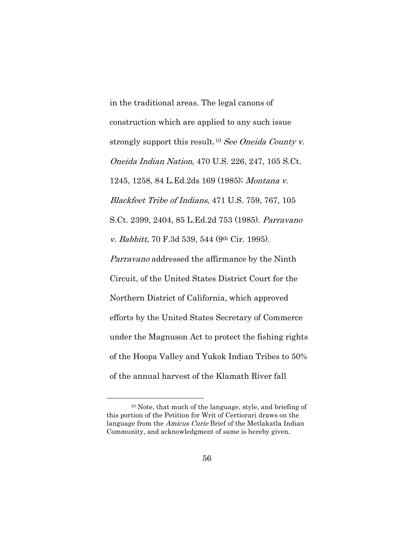in the traditional areas. The legal canons of construction which are applied to any such issue strongly support this result.<sup>[10](#page-79-0)</sup> See Oneida County v. Oneida Indian Nation, 470 U.S. 226, 247, 105 S.Ct. 1245, 1258, 84 L.Ed.2ds 169 (1985); Montana v. Blackfeet Tribe of Indians, 471 U.S. 759, 767, 105 S.Ct. 2399, 2404, 85 L.Ed.2d 753 (1985). Parravano v. Babbitt, 70 F.3d 539, 544 (9th Cir. 1995). Parravano addressed the affirmance by the Ninth Circuit, of the United States District Court for the Northern District of California, which approved efforts by the United States Secretary of Commerce under the Magnuson Act to protect the fishing rights of the Hoopa Valley and Yukok Indian Tribes to 50% of the annual harvest of the Klamath River fall

<span id="page-79-0"></span><sup>10</sup> Note, that much of the language, style, and briefing of this portion of the Petition for Writ of Certiorari draws on the language from the *Amicus Curie* Brief of the Metlakatla Indian Community, and acknowledgment of same is hereby given.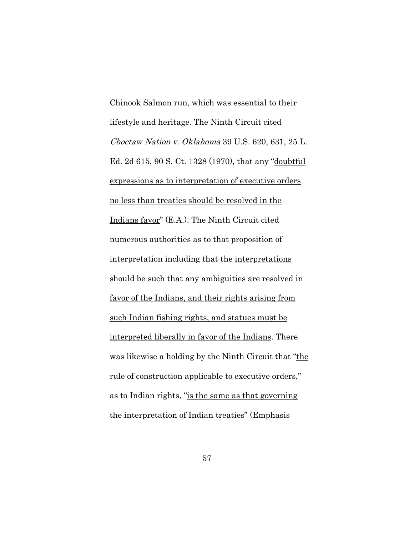Chinook Salmon run, which was essential to their lifestyle and heritage. The Ninth Circuit cited Choctaw Nation v. Oklahoma 39 U.S. 620, 631, 25 L. Ed. 2d 615, 90 S. Ct. 1328 (1970), that any "doubtful expressions as to interpretation of executive orders no less than treaties should be resolved in the Indians favor" (E.A.). The Ninth Circuit cited numerous authorities as to that proposition of interpretation including that the interpretations should be such that any ambiguities are resolved in favor of the Indians, and their rights arising from such Indian fishing rights, and statues must be interpreted liberally in favor of the Indians. There was likewise a holding by the Ninth Circuit that "the rule of construction applicable to executive orders," as to Indian rights, "is the same as that governing the interpretation of Indian treaties" (Emphasis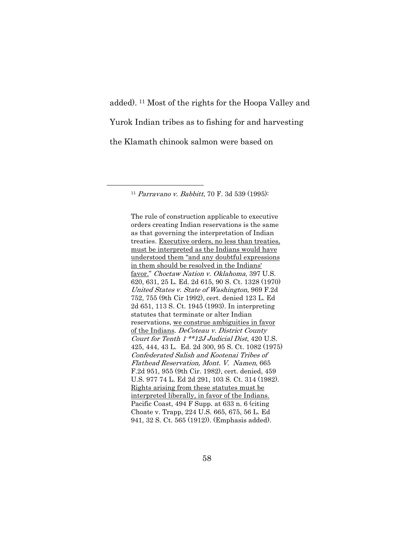added). [11](#page-81-0) Most of the rights for the Hoopa Valley and Yurok Indian tribes as to fishing for and harvesting the Klamath chinook salmon were based on

<span id="page-81-0"></span><sup>11</sup> Parravano v. Babbitt, 70 F. 3d 539 (1995):

The rule of construction applicable to executive orders creating Indian reservations is the same as that governing the interpretation of Indian treaties. Executive orders, no less than treaties, must be interpreted as the Indians would have understood them "and any doubtful expressions in them should be resolved in the Indians' favor." Choctaw Nation v. Oklahoma, 397 U.S. 620, 631, 25 L. Ed. 2d 615, 90 S. Ct. 1328 (1970) United States v. State of Washington, 969 F.2d 752, 755 (9th Cir 1992), cert. denied 123 L. Ed 2d 651, 113 S. Ct. 1945 (1993). In interpreting statutes that terminate or alter Indian reservations, we construe ambiguities in favor of the Indians. DeCoteau v. District County Court for Tenth 1-\*\*12J Judicial Dist, 420 U.S. 425, 444, 43 L. Ed. 2d 300, 95 S. Ct. 1082 (1975) Confederated Salish and Kootenai Tribes of Flathead Reservation, Mont. V. Namen, 665 F.2d 951, 955 (9th Cir. 1982), cert. denied, 459 U.S. 977 74 L. Ed 2d 291, 103 S. Ct. 314 (1982). Rights arising from these statutes must be interpreted liberally, in favor of the Indians. Pacific Coast, 494 F Supp. at 633 n. 6 (citing Choate v. Trapp, 224 U.S. 665, 675, 56 L. Ed 941, 32 S. Ct. 565 (1912)). (Emphasis added).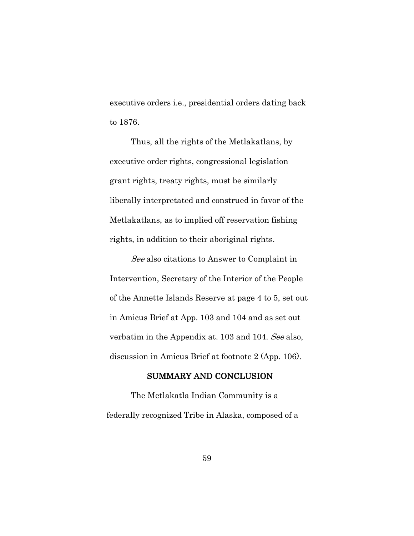executive orders i.e., presidential orders dating back to 1876.

Thus, all the rights of the Metlakatlans, by executive order rights, congressional legislation grant rights, treaty rights, must be similarly liberally interpretated and construed in favor of the Metlakatlans, as to implied off reservation fishing rights, in addition to their aboriginal rights.

See also citations to Answer to Complaint in Intervention, Secretary of the Interior of the People of the Annette Islands Reserve at page 4 to 5, set out in Amicus Brief at App. 103 and 104 and as set out verbatim in the Appendix at. 103 and 104. See also, discussion in Amicus Brief at footnote 2 (App. 106).

## SUMMARY AND CONCLUSION

The Metlakatla Indian Community is a federally recognized Tribe in Alaska, composed of a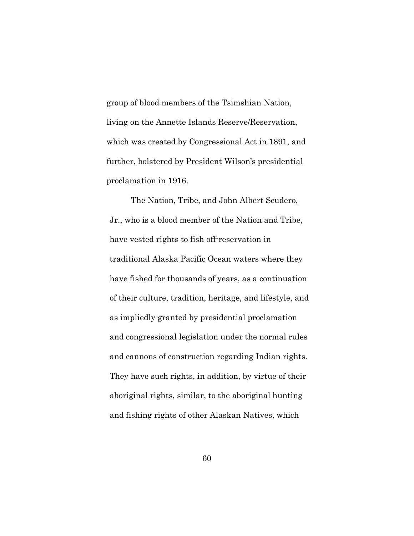group of blood members of the Tsimshian Nation, living on the Annette Islands Reserve/Reservation, which was created by Congressional Act in 1891, and further, bolstered by President Wilson's presidential proclamation in 1916.

The Nation, Tribe, and John Albert Scudero, Jr., who is a blood member of the Nation and Tribe, have vested rights to fish off-reservation in traditional Alaska Pacific Ocean waters where they have fished for thousands of years, as a continuation of their culture, tradition, heritage, and lifestyle, and as impliedly granted by presidential proclamation and congressional legislation under the normal rules and cannons of construction regarding Indian rights. They have such rights, in addition, by virtue of their aboriginal rights, similar, to the aboriginal hunting and fishing rights of other Alaskan Natives, which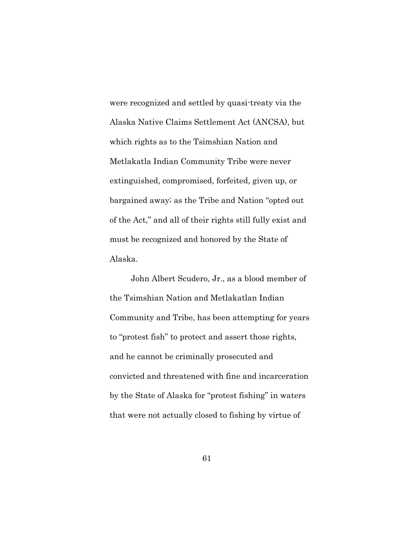were recognized and settled by quasi-treaty via the Alaska Native Claims Settlement Act (ANCSA), but which rights as to the Tsimshian Nation and Metlakatla Indian Community Tribe were never extinguished, compromised, forfeited, given up, or bargained away; as the Tribe and Nation "opted out of the Act," and all of their rights still fully exist and must be recognized and honored by the State of Alaska.

John Albert Scudero, Jr., as a blood member of the Tsimshian Nation and Metlakatlan Indian Community and Tribe, has been attempting for years to "protest fish" to protect and assert those rights, and he cannot be criminally prosecuted and convicted and threatened with fine and incarceration by the State of Alaska for "protest fishing" in waters that were not actually closed to fishing by virtue of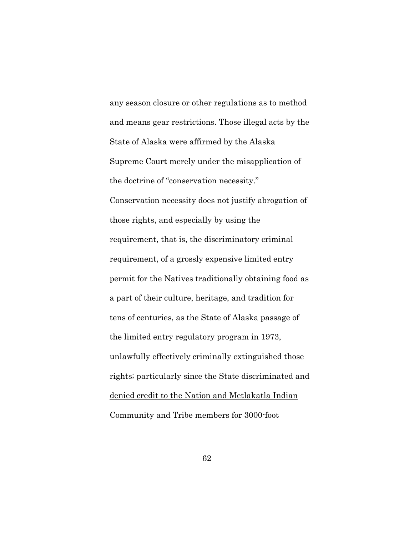any season closure or other regulations as to method and means gear restrictions. Those illegal acts by the State of Alaska were affirmed by the Alaska Supreme Court merely under the misapplication of the doctrine of "conservation necessity." Conservation necessity does not justify abrogation of those rights, and especially by using the requirement, that is, the discriminatory criminal requirement, of a grossly expensive limited entry permit for the Natives traditionally obtaining food as a part of their culture, heritage, and tradition for tens of centuries, as the State of Alaska passage of the limited entry regulatory program in 1973, unlawfully effectively criminally extinguished those rights; particularly since the State discriminated and denied credit to the Nation and Metlakatla Indian Community and Tribe members for 3000-foot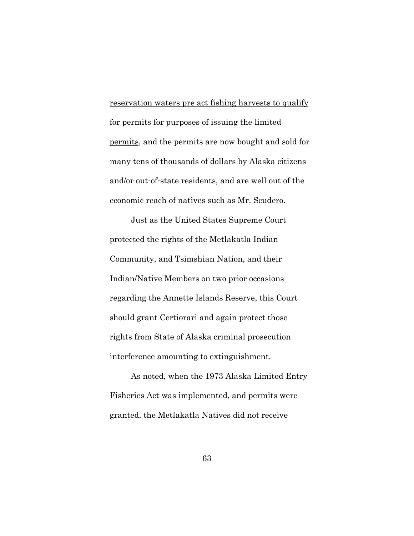reservation waters pre act fishing harvests to qualify for permits for purposes of issuing the limited permits, and the permits are now bought and sold for many tens of thousands of dollars by Alaska citizens and/or out-of-state residents, and are well out of the economic reach of natives such as Mr. Scudero.

Just as the United States Supreme Court protected the rights of the Metlakatla Indian Community, and Tsimshian Nation, and their Indian/Native Members on two prior occasions regarding the Annette Islands Reserve, this Court should grant Certiorari and again protect those rights from State of Alaska criminal prosecution interference amounting to extinguishment.

As noted, when the 1973 Alaska Limited Entry Fisheries Act was implemented, and permits were granted, the Metlakatla Natives did not receive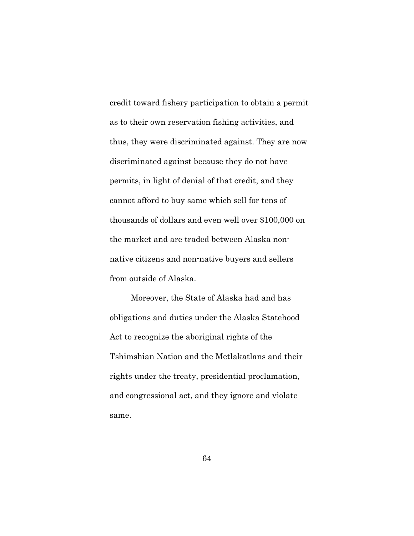credit toward fishery participation to obtain a permit as to their own reservation fishing activities, and thus, they were discriminated against. They are now discriminated against because they do not have permits, in light of denial of that credit, and they cannot afford to buy same which sell for tens of thousands of dollars and even well over \$100,000 on the market and are traded between Alaska nonnative citizens and non-native buyers and sellers from outside of Alaska.

Moreover, the State of Alaska had and has obligations and duties under the Alaska Statehood Act to recognize the aboriginal rights of the Tshimshian Nation and the Metlakatlans and their rights under the treaty, presidential proclamation, and congressional act, and they ignore and violate same.

64